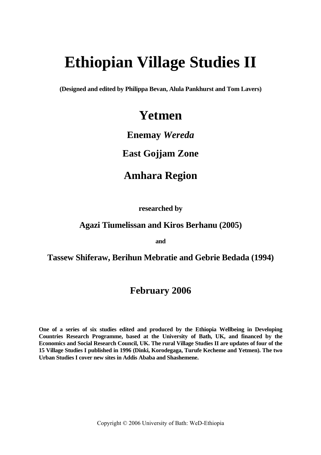# **Ethiopian Village Studies II**

**(Designed and edited by Philippa Bevan, Alula Pankhurst and Tom Lavers)** 

# **Yetmen**

# **Enemay** *Wereda*

# **East Gojjam Zone**

# **Amhara Region**

 **researched by**

# **Agazi Tiumelissan and Kiros Berhanu (2005)**

**and** 

# **Tassew Shiferaw, Berihun Mebratie and Gebrie Bedada (1994)**

# **February 2006**

**One of a series of six studies edited and produced by the Ethiopia Wellbeing in Developing Countries Research Programme, based at the University of Bath, UK, and financed by the Economics and Social Research Council, UK. The rural Village Studies II are updates of four of the 15 Village Studies I published in 1996 (Dinki, Korodegaga, Turufe Kecheme and Yetmen). The two Urban Studies I cover new sites in Addis Ababa and Shashemene.** 

Copyright © 2006 University of Bath: WeD-Ethiopia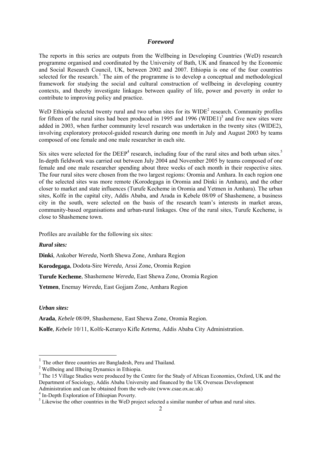#### *Foreword*

The reports in this series are outputs from the Wellbeing in Developing Countries (WeD) research programme organised and coordinated by the University of Bath, UK and financed by the Economic and Social Research Council, UK, between 2002 and 2007. Ethiopia is one of the four countries selected for the research.<sup>[1](#page-1-0)</sup> The aim of the programme is to develop a conceptual and methodological framework for studying the social and cultural construction of wellbeing in developing country contexts, and thereby investigate linkages between quality of life, power and poverty in order to contribute to improving policy and practice.

WeD Ethiopia selected twenty rural and two urban sites for its  $WIDE<sup>2</sup>$  $WIDE<sup>2</sup>$  $WIDE<sup>2</sup>$  research. Community profiles for fifteen of the rural sites had been produced in 1995 and 1996 (WIDE1)<sup>3</sup> and five new sites were added in 2003, when further community level research was undertaken in the twenty sites (WIDE2), involving exploratory protocol-guided research during one month in July and August 2003 by teams composed of one female and one male researcher in each site.

Six sites were selected for the  $DEEP<sup>4</sup>$  research, including four of the rural sites and both urban sites.<sup>[5](#page-1-4)</sup> In-depth fieldwork was carried out between July 2004 and November 2005 by teams composed of one female and one male researcher spending about three weeks of each month in their respective sites. The four rural sites were chosen from the two largest regions: Oromia and Amhara. In each region one of the selected sites was more remote (Korodegaga in Oromia and Dinki in Amhara), and the other closer to market and state influences (Turufe Kecheme in Oromia and Yetmen in Amhara). The urban sites, Kolfe in the capital city, Addis Ababa, and Arada in Kebele 08/09 of Shashemene, a business city in the south, were selected on the basis of the research team's interests in market areas, community-based organisations and urban-rural linkages. One of the rural sites, Turufe Kecheme, is close to Shashemene town.

Profiles are available for the following six sites:

#### *Rural sites:*

**Dinki**, Ankober *Wereda,* North Shewa Zone, Amhara Region

**Korodegaga**, Dodota-Sire *Wereda,* Arssi Zone, Oromia Region

**Turufe Kecheme**, Shashemene *Wereda,* East Shewa Zone, Oromia Region

**Yetmen**, Enemay *Wereda,* East Gojjam Zone, Amhara Region

*Urban sites:* 

j

**Arada**, *Kebele* 08/09, Shashemene, East Shewa Zone, Oromia Region.

**Kolfe**, *Kebele* 10/11, Kolfe-Keranyo Kifle *Ketema,* Addis Ababa City Administration.

<span id="page-1-0"></span><sup>&</sup>lt;sup>1</sup> The other three countries are Bangladesh, Peru and Thailand.

<span id="page-1-1"></span><sup>&</sup>lt;sup>2</sup> Wellbeing and Illbeing Dynamics in Ethiopia.

<span id="page-1-2"></span><sup>&</sup>lt;sup>3</sup> The 15 Village Studies were produced by the Centre for the Study of African Economies, Oxford, UK and the Department of Sociology, Addis Ababa University and financed by the UK Overseas Development

Administration and can be obtained from the web-site (www.csae.ox.ac.uk) 4

<span id="page-1-3"></span> $<sup>4</sup>$  In-Depth Exploration of Ethiopian Poverty.</sup>

<span id="page-1-4"></span> $<sup>5</sup>$  Likewise the other countries in the WeD project selected a similar number of urban and rural sites.</sup>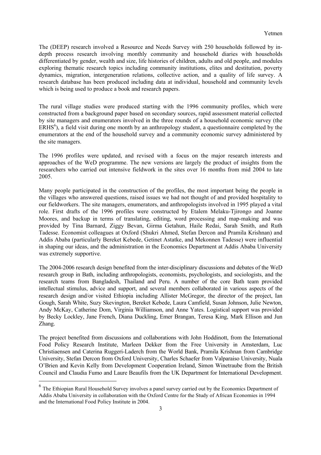The (DEEP) research involved a Resource and Needs Survey with 250 households followed by indepth process research involving monthly community and household diaries with households differentiated by gender, wealth and size, life histories of children, adults and old people, and modules exploring thematic research topics including community institutions, elites and destitution, poverty dynamics, migration, intergeneration relations, collective action, and a quality of life survey. A research database has been produced including data at individual, household and community levels which is being used to produce a book and research papers.

The rural village studies were produced starting with the 1996 community profiles, which were constructed from a background paper based on secondary sources, rapid assessment material collected by site managers and enumerators involved in the three rounds of a household economic survey (the  $ERHS<sup>6</sup>$  $ERHS<sup>6</sup>$  $ERHS<sup>6</sup>$ ), a field visit during one month by an anthropology student, a questionnaire completed by the enumerators at the end of the household survey and a community economic survey administered by the site managers.

The 1996 profiles were updated, and revised with a focus on the major research interests and approaches of the WeD programme. The new versions are largely the product of insights from the researchers who carried out intensive fieldwork in the sites over 16 months from mid 2004 to late 2005.

Many people participated in the construction of the profiles, the most important being the people in the villages who answered questions, raised issues we had not thought of and provided hospitality to our fieldworkers. The site managers, enumerators, and anthropologists involved in 1995 played a vital role. First drafts of the 1996 profiles were constructed by Etalem Melaku-Tjirongo and Joanne Moores, and backup in terms of translating, editing, word processing and map-making and was provided by Tina Barnard, Ziggy Bevan, Girma Getahun, Haile Redai, Sarah Smith, and Ruth Tadesse. Economist colleagues at Oxford (Shukri Ahmed, Stefan Dercon and Pramila Krishnan) and Addis Ababa (particularly Bereket Kebede, Getinet Astatke, and Mekonnen Tadesse) were influential in shaping our ideas, and the administration in the Economics Department at Addis Ababa University was extremely supportive.

The 2004-2006 research design benefited from the inter-disciplinary discussions and debates of the WeD research group in Bath, including anthropologists, economists, psychologists, and sociologists, and the research teams from Bangladesh, Thailand and Peru. A number of the core Bath team provided intellectual stimulus, advice and support, and several members collaborated in various aspects of the research design and/or visited Ethiopia including Allister McGregor, the director of the project, Ian Gough, Sarah White, Suzy Skevington, Bereket Kebede, Laura Camfield, Susan Johnson, Julie Newton, Andy McKay, Catherine Dom, Virginia Williamson, and Anne Yates. Logistical support was provided by Becky Lockley, Jane French, Diana Duckling, Emer Brangan, Teresa King, Mark Ellison and Jun Zhang.

The project benefited from discussions and collaborations with John Hoddinott, from the International Food Policy Research Institute, Marleen Dekker from the Free University in Amsterdam*,* Luc Christiaensen and Caterina Ruggeri-Laderch from the World Bank, Pramila Krishnan from Cambridge University, Stefan Dercon from Oxford University, Charles Schaefer from Valparaiso University, Nuala O'Brien and Kevin Kelly from Development Cooperation Ireland, Simon Winetraube from the British Council and Claudia Fumo and Laure Beaufils from the UK Department for International Development.

j

<span id="page-2-0"></span><sup>&</sup>lt;sup>6</sup> The Ethiopian Rural Household Survey involves a panel survey carried out by the Economics Department of Addis Ababa University in collaboration with the Oxford Centre for the Study of African Economies in 1994 and the International Food Policy Institute in 2004.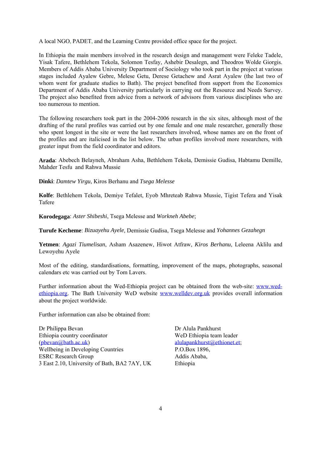A local NGO, PADET, and the Learning Centre provided office space for the project.

In Ethiopia the main members involved in the research design and management were Feleke Tadele, Yisak Tafere, Bethlehem Tekola, Solomon Tesfay, Ashebir Desalegn, and Theodros Wolde Giorgis. Members of Addis Ababa University Department of Sociology who took part in the project at various stages included Ayalew Gebre, Melese Getu, Derese Getachew and Asrat Ayalew (the last two of whom went for graduate studies to Bath). The project benefited from support from the Economics Department of Addis Ababa University particularly in carrying out the Resource and Needs Survey. The project also benefited from advice from a network of advisors from various disciplines who are too numerous to mention.

The following researchers took part in the 2004-2006 research in the six sites, although most of the drafting of the rural profiles was carried out by one female and one male researcher, generally those who spent longest in the site or were the last researchers involved, whose names are on the front of the profiles and are italicised in the list below. The urban profiles involved more researchers, with greater input from the field coordinator and editors.

**Arada**: Abebech Belayneh*,* Abraham Asha, Bethlehem Tekola, Demissie Gudisa, Habtamu Demille, Mahder Tesfu and Rahwa Mussie

**Dinki**: *Damtew Yirgu*, Kiros Berhanu and *Tsega Melesse*

**Kolfe**: Bethlehem Tekola, Demiye Tefalet, Eyob Mhreteab Rahwa Mussie, Tigist Tefera and Yisak Tafere

**Korodegaga**: *Aster Shibeshi*, Tsega Melesse and *Workneh Abebe*;

**Turufe Kecheme**: *Bizuayehu Ayele*, Demissie Gudisa, Tsega Melesse and *Yohannes Gezahegn*

**Yetmen**: *Agazi Tiumelisan*, Asham Asazenew, Hiwot Atfraw, *Kiros Berhanu*, Leleena Aklilu and Lewoyehu Ayele

Most of the editing, standardisations, formatting, improvement of the maps, photographs, seasonal calendars etc was carried out by Tom Lavers.

Further information about the Wed-Ethiopia project can be obtained from the web-site: [www.wed](http://www.wed-ethiopia.org/)[ethiopia.org.](http://www.wed-ethiopia.org/) The Bath University WeD website [www.welldev.org.uk](http://www.welldev.org.uk/) provides overall information about the project worldwide.

Further information can also be obtained from:

Dr Philippa Bevan Dr Alula Pankhurst Ethiopia country coordinator WeD Ethiopia team leader ([pbevan@bath.ac.uk\)](mailto:pbevan@bath.ac.uk) [alulapankhurst@ethionet.et](mailto:alulapankhurst@ethionet.et); Wellbeing in Developing Countries P.O.Box 1896, ESRC Research Group Addis Ababa, 3 East 2.10, University of Bath, BA2 7AY, UK Ethiopia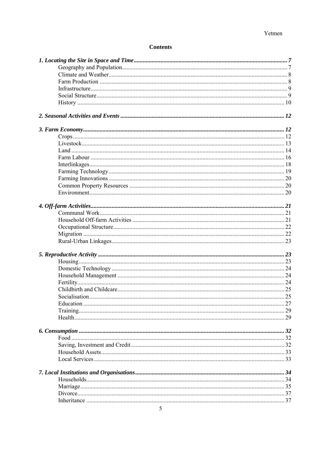# **Contents**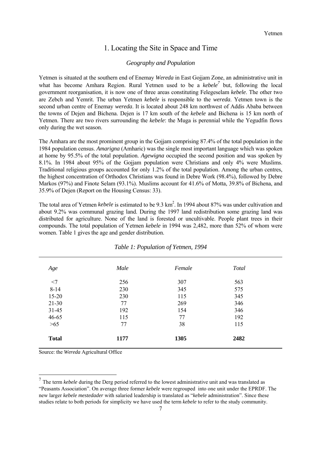## 1. Locating the Site in Space and Time

#### *Geography and Population*

<span id="page-6-0"></span>Yetmen is situated at the southern end of Enemay *Wereda* in East Gojjam Zone, an administrative unit in what has become Amhara Region. Rural Yetmen used to be a *kebele*<sup>[7](#page-6-1)</sup> but, following the local government reorganisation, it is now one of three areas constituting Felegeselam *kebele*. The other two are Zebch and Yemrit. The urban Yetmen *kebele* is responsible to the *wereda*. Yetmen town is the second urban centre of Enemay *wereda*. It is located about 248 km northwest of Addis Ababa between the towns of Dejen and Bichena. Dejen is 17 km south of the *kebele* and Bichena is 15 km north of Yetmen. There are two rivers surrounding the *kebele*: the Muga is perennial while the Yegudfin flows only during the wet season.

The Amhara are the most prominent group in the Gojjam comprising 87.4% of the total population in the 1984 population census. *Amarigna* (Amharic) was the single most important language which was spoken at home by 95.5% of the total population. *Agewigna* occupied the second position and was spoken by 8.1%. In 1984 about 95% of the Gojjam population were Christians and only 4% were Muslims. Traditional religious groups accounted for only 1.2% of the total population. Among the urban centres, the highest concentration of Orthodox Christians was found in Debre Work (98.4%), followed by Debre Markos (97%) and Finote Selam (93.1%). Muslims account for 41.6% of Motta, 39.8% of Bichena, and 35.9% of Dejen (Report on the Housing Census: 33).

The total area of Yetmen *kebele* is estimated to be 9.3 km<sup>2</sup>. In 1994 about 87% was under cultivation and about 9.2% was communal grazing land. During the 1997 land redistribution some grazing land was distributed for agriculture. None of the land is forested or uncultivable. People plant trees in their compounds. The total population of Yetmen *kebele* in 1994 was 2,482, more than 52% of whom were women. Table 1 gives the age and gender distribution.

| Age          | Male | Female | <b>Total</b> |
|--------------|------|--------|--------------|
| $<$ 7        | 256  | 307    | 563          |
| $8 - 14$     | 230  | 345    | 575          |
| $15 - 20$    | 230  | 115    | 345          |
| $21 - 30$    | 77   | 269    | 346          |
| $31 - 45$    | 192  | 154    | 346          |
| 46-65        | 115  | 77     | 192          |
| $>65$        | 77   | 38     | 115          |
| <b>Total</b> | 1177 | 1305   | 2482         |

*Table 1: Population of Yetmen, 1994*

Source: the *Wereda* Agricultural Office

<span id="page-6-1"></span> <sup>7</sup> The term *kebele* during the Derg period referred to the lowest administrative unit and was translated as "Peasants Association". On average three former *kebele* were regrouped into one unit under the EPRDF. The new larger *kebele mestedader* with salaried leadership is translated as "*kebele* administration". Since these studies relate to both periods for simplicity we have used the term *kebele* to refer to the study community.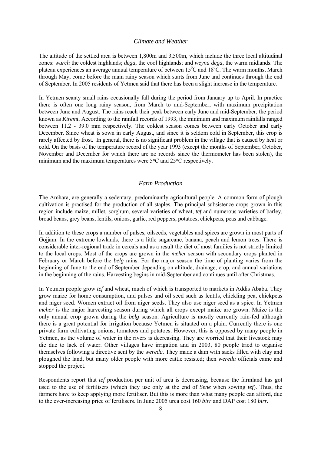#### *Climate and Weather*

<span id="page-7-0"></span>The altitude of the settled area is between 1,800m and 3,500m, which include the three local altitudinal zones: *wurch* the coldest highlands; *dega*, the cool highlands; and *weyna dega*, the warm midlands. The plateau experiences an average annual temperature of between  $15^{\circ}$ C and  $18^{\circ}$ C. The warm months, March through May, come before the main rainy season which starts from June and continues through the end of September. In 2005 residents of Yetmen said that there has been a slight increase in the temperature.

In Yetmen scanty small rains occasionally fall during the period from January up to April. In practice there is often one long rainy season, from March to mid-September, with maximum precipitation between June and August. The rains reach their peak between early June and mid-September; the period known as *Kiremt*. According to the rainfall records of 1993, the minimum and maximum rainfalls ranged between 11.2 - 39.0 mm respectively. The coldest season comes between early October and early December. Since wheat is sown in early August, and since it is seldom cold in September, this crop is rarely affected by frost. In general, there is no significant problem in the village that is caused by heat or cold. On the basis of the temperature record of the year 1993 (except the months of September, October, November and December for which there are no records since the thermometer has been stolen), the minimum and the maximum temperatures were 5°C and 25°C respectively.

#### *Farm Production*

The Amhara, are generally a sedentary, predominantly agricultural people. A common form of plough cultivation is practised for the production of all staples. The principal subsistence crops grown in this region include maize, millet, sorghum, several varieties of wheat, *tef* and numerous varieties of barley, broad beans, grey beans, lentils, onions, garlic, red peppers, potatoes, chickpeas, peas and cabbage.

In addition to these crops a number of pulses, oilseeds, vegetables and spices are grown in most parts of Gojjam. In the extreme lowlands, there is a little sugarcane, banana, peach and lemon trees. There is considerable inter-regional trade in cereals and as a result the diet of most families is not strictly limited to the local crops. Most of the crops are grown in the *meher* season with secondary crops planted in February or March before the *belg* rains. For the major season the time of planting varies from the beginning of June to the end of September depending on altitude, drainage, crop, and annual variations in the beginning of the rains. Harvesting begins in mid-September and continues until after Christmas.

In Yetmen people grow *tef* and wheat, much of which is transported to markets in Addis Ababa. They grow maize for home consumption, and pulses and oil seed such as lentils, chickling pea, chickpeas and niger seed. Women extract oil from niger seeds. They also use niger seed as a spice. In Yetmen *meher* is the major harvesting season during which all crops except maize are grown. Maize is the only annual crop grown during the *belg* season. Agriculture is mostly currently rain-fed although there is a great potential for irrigation because Yetmen is situated on a plain. Currently there is one private farm cultivating onions, tomatoes and potatoes. However, this is opposed by many people in Yetmen, as the volume of water in the rivers is decreasing. They are worried that their livestock may die due to lack of water. Other villages have irrigation and in 2003, 80 people tried to organise themselves following a directive sent by the *wereda.* They made a dam with sacks filled with clay and ploughed the land, but many older people with more cattle resisted; then *wereda* officials came and stopped the project.

Respondents report that *tef* production per unit of area is decreasing, because the farmland has got used to the use of fertilisers (which they use only at the end of *Sene* when sowing *tef*). Thus, the farmers have to keep applying more fertiliser. But this is more than what many people can afford, due to the ever-increasing price of fertilisers. In June 2005 urea cost 160 *birr* and DAP cost 180 *birr.*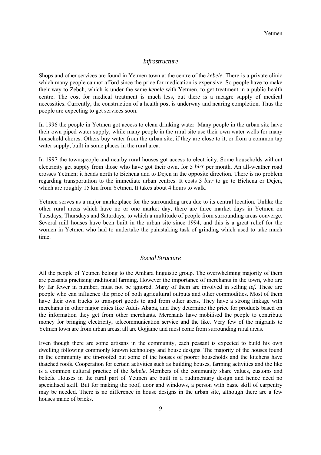#### *Infrastructure*

<span id="page-8-0"></span>Shops and other services are found in Yetmen town at the centre of the *kebele*. There is a private clinic which many people cannot afford since the price for medication is expensive. So people have to make their way to Zebch, which is under the same *kebele* with Yetmen, to get treatment in a public health centre. The cost for medical treatment is much less, but there is a meagre supply of medical necessities. Currently, the construction of a health post is underway and nearing completion. Thus the people are expecting to get services soon.

In 1996 the people in Yetmen got access to clean drinking water. Many people in the urban site have their own piped water supply, while many people in the rural site use their own water wells for many household chores. Others buy water from the urban site, if they are close to it, or from a common tap water supply, built in some places in the rural area.

In 1997 the townspeople and nearby rural houses got access to electricity. Some households without electricity get supply from those who have got their own, for 5 *birr* per month. An all-weather road crosses Yetmen; it heads north to Bichena and to Dejen in the opposite direction. There is no problem regarding transportation to the immediate urban centres. It costs 3 *birr* to go to Bichena or Dejen, which are roughly 15 km from Yetmen. It takes about 4 hours to walk.

Yetmen serves as a major marketplace for the surrounding area due to its central location. Unlike the other rural areas which have no or one market day, there are three market days in Yetmen on Tuesdays, Thursdays and Saturdays, to which a multitude of people from surrounding areas converge. Several mill houses have been built in the urban site since 1994, and this is a great relief for the women in Yetmen who had to undertake the painstaking task of grinding which used to take much time.

#### *Social Structure*

All the people of Yetmen belong to the Amhara linguistic group. The overwhelming majority of them are peasants practising traditional farming. However the importance of merchants in the town, who are by far fewer in number, must not be ignored. Many of them are involved in selling *tef*. These are people who can influence the price of both agricultural outputs and other commodities. Most of them have their own trucks to transport goods to and from other areas. They have a strong linkage with merchants in other major cities like Addis Ababa, and they determine the price for products based on the information they get from other merchants. Merchants have mobilised the people to contribute money for bringing electricity, telecommunication service and the like. Very few of the migrants to Yetmen town are from urban areas; all are Gojjame and most come from surrounding rural areas.

Even though there are some artisans in the community, each peasant is expected to build his own dwelling following commonly known technology and house designs. The majority of the houses found in the community are tin-roofed but some of the houses of poorer households and the kitchens have thatched roofs. Cooperation for certain activities such as building houses, farming activities and the like is a common cultural practice of the *kebele*. Members of the community share values, customs and beliefs. Houses in the rural part of Yetmen are built in a rudimentary design and hence need no specialised skill. But for making the roof, door and windows, a person with basic skill of carpentry may be needed. There is no difference in house designs in the urban site, although there are a few houses made of bricks.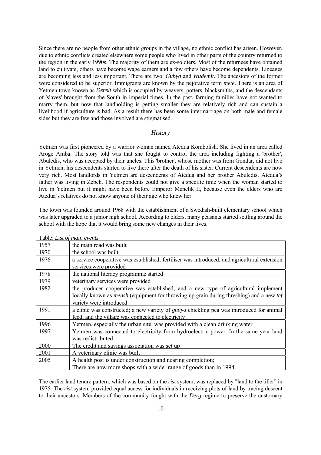<span id="page-9-0"></span>Since there are no people from other ethnic groups in the village, no ethnic conflict has arisen. However, due to ethnic conflicts created elsewhere some people who lived in other parts of the country returned to the region in the early 1990s. The majority of them are ex-soldiers. Most of the returnees have obtained land to cultivate, others have become wage earners and a few others have become dependents. Lineages are becoming less and less important. There are two: *Gubya* and *Wudemit*. The ancestors of the former were considered to be superior. Immigrants are known by the pejorative term *mete*. There is an area of Yetmen town known as *Densit* which is occupied by weavers, potters, blacksmiths, and the descendants of 'slaves' brought from the South in imperial times. In the past, farming families have not wanted to marry them, but now that landholding is getting smaller they are relatively rich and can sustain a livelihood if agriculture is bad. As a result there has been some intermarriage on both male and female sides but they are few and those involved are stigmatised.

#### *History*

Yetmen was first pioneered by a warrior woman named Atedua Kombolish. She lived in an area called Aroge Amba. The story told was that she fought to control the area including fighting a 'brother', Abuledis, who was accepted by their uncles. This 'brother', whose mother was from Gondar, did not live in Yetmen; his descendents started to live there after the death of his sister. Current descendents are now very rich. Most landlords in Yetmen are descendents of Atedua and her brother Abuledis. Atedua's father was living in Zebch. The respondents could not give a specific time when the woman started to live in Yetmen but it might have been before Emperor Menelik II, because even the elders who are Atedua's relatives do not know anyone of their age who knew her.

The town was founded around 1968 with the establishment of a Swedish-built elementary school which was later upgraded to a junior high school. According to elders, many peasants started settling around the school with the hope that it would bring some new changes in their lives.

| 1957 | the main road was built                                                                                                                                                                                                |
|------|------------------------------------------------------------------------------------------------------------------------------------------------------------------------------------------------------------------------|
| 1970 | the school was built                                                                                                                                                                                                   |
| 1976 | a service cooperative was established; fertiliser was introduced; and agricultural extension                                                                                                                           |
|      | services were provided                                                                                                                                                                                                 |
| 1978 | the national literacy programme started                                                                                                                                                                                |
| 1979 | veterinary services were provided                                                                                                                                                                                      |
| 1982 | the producer cooperative was established; and a new type of agricultural implement<br>locally known as <i>mensh</i> (equipment for throwing up grain during threshing) and a new <i>tef</i><br>variety were introduced |
| 1991 | a clinic was constructed; a new variety of <i>guaya</i> chickling pea was introduced for animal<br>feed; and the village was connected to electricity                                                                  |
| 1996 | Yetmen, especially the urban site, was provided with a clean drinking water                                                                                                                                            |
| 1997 | Yetmen was connected to electricity from hydroelectric power. In the same year land<br>was redistributed                                                                                                               |
| 2000 | The credit and savings association was set up                                                                                                                                                                          |
| 2001 | A veterinary clinic was built                                                                                                                                                                                          |
| 2005 | A health post is under construction and nearing completion;                                                                                                                                                            |
|      | There are now more shops with a wider range of goods than in 1994.                                                                                                                                                     |

Table: *List of main events*

The earlier land tenure pattern, which was based on the *rist* system, was replaced by "land to the tiller" in 1975. The *rist* system provided equal access for individuals in receiving plots of land by tracing descent to their ancestors. Members of the community fought with the *Derg* regime to preserve the customary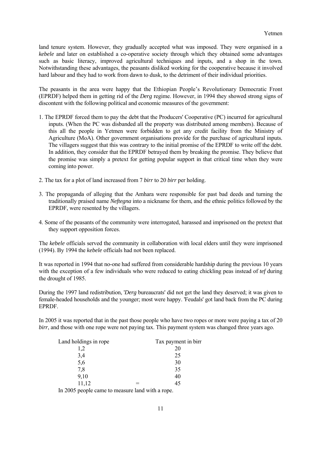land tenure system. However, they gradually accepted what was imposed. They were organised in a *kebele* and later on established a co-operative society through which they obtained some advantages such as basic literacy, improved agricultural techniques and inputs, and a shop in the town. Notwithstanding these advantages, the peasants disliked working for the cooperative because it involved hard labour and they had to work from dawn to dusk, to the detriment of their individual priorities.

The peasants in the area were happy that the Ethiopian People's Revolutionary Democratic Front (EPRDF) helped them in getting rid of the *Derg* regime. However, in 1994 they showed strong signs of discontent with the following political and economic measures of the government:

- 1. The EPRDF forced them to pay the debt that the Producers' Cooperative (PC) incurred for agricultural inputs. (When the PC was disbanded all the property was distributed among members). Because of this all the people in Yetmen were forbidden to get any credit facility from the Ministry of Agriculture (MoA). Other government organisations provide for the purchase of agricultural inputs. The villagers suggest that this was contrary to the initial promise of the EPRDF to write off the debt. In addition, they consider that the EPRDF betrayed them by breaking the promise. They believe that the promise was simply a pretext for getting popular support in that critical time when they were coming into power.
- 2. The tax for a plot of land increased from 7 *birr* to 20 *birr* per holding.
- 3. The propaganda of alleging that the Amhara were responsible for past bad deeds and turning the traditionally praised name *Neftegna* into a nickname for them, and the ethnic politics followed by the EPRDF, were resented by the villagers.
- 4. Some of the peasants of the community were interrogated, harassed and imprisoned on the pretext that they support opposition forces.

The *kebele* officials served the community in collaboration with local elders until they were imprisoned (1994). By 1994 the *kebele* officials had not been replaced.

It was reported in 1994 that no-one had suffered from considerable hardship during the previous 10 years with the exception of a few individuals who were reduced to eating chickling peas instead of *tef* during the drought of 1985.

During the 1997 land redistribution, '*Derg* bureaucrats' did not get the land they deserved; it was given to female-headed households and the younger; most were happy. 'Feudals' got land back from the PC during EPRDF.

In 2005 it was reported that in the past those people who have two ropes or more were paying a tax of 20 *birr*, and those with one rope were not paying tax. This payment system was changed three years ago.

| Land holdings in rope |   | Tax payment in birr |  |  |  |
|-----------------------|---|---------------------|--|--|--|
| 1,2                   |   |                     |  |  |  |
| 3,4                   |   | 25                  |  |  |  |
| 5,6                   |   | 30                  |  |  |  |
| 7,8                   |   | 35                  |  |  |  |
| 9,10                  |   | 40                  |  |  |  |
| 11,12                 |   | 45                  |  |  |  |
|                       | . |                     |  |  |  |

In 2005 people came to measure land with a rope.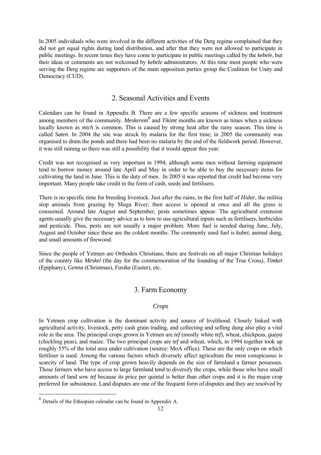<span id="page-11-0"></span>In 2005 individuals who were involved in the different activities of the Derg regime complained that they did not get equal rights during land distribution, and after that they were not allowed to participate in public meetings. In recent times they have come to participate in public meetings called by the *kebele*, but their ideas or comments are not welcomed by *kebele* administrators. At this time most people who were serving the Derg regime are supporters of the main opposition parties group the Coalition for Unity and Democracy (CUD).

## 2. Seasonal Activities and Events

Calendars can be found in Appendix B. There are a few specific seasons of sickness and treatment among members of the community. *Meskerem[8](#page-11-1)* and *Tikimt* months are known as times when a sickness locally known as *mich* is common. This is caused by strong heat after the rainy season. This time is called *Saten*. In 2004 the site was struck by malaria for the first time; in 2005 the community was organised to drain the ponds and there had been no malaria by the end of the fieldwork period. However, it was still raining so there was still a possibility that it would appear this year.

Credit was not recognised as very important in 1994, although some men without farming equipment tend to borrow money around late April and May in order to be able to buy the necessary items for cultivating the land in June. This is the duty of men. In 2005 it was reported that credit had become very important. Many people take credit in the form of cash, seeds and fertilisers.

There is no specific time for breeding livestock. Just after the rains, in the first half of *Hidar*, the militia stop animals from grazing by Muga River; then access is opened at once and all the grass is consumed. Around late August and September, pests sometimes appear. The agricultural extension agents usually give the necessary advice as to how to use agricultural inputs such as fertilisers, herbicides and pesticide. Thus, pests are not usually a major problem. More fuel is needed during June, July, August and October since these are the coldest months. The commonly used fuel is *kubet*, animal dung, and small amounts of firewood.

Since the people of Yetmen are Orthodox Christians, there are festivals on all major Christian holidays of the country like *Meskel* (the day for the commemoration of the founding of the True Cross), *Timket* (Epiphany), *Genna* (Christmas), *Fasika* (Easter), etc.

# 3. Farm Economy

#### *Crops*

In Yetmen crop cultivation is the dominant activity and source of livelihood. Closely linked with agricultural activity, livestock, petty cash grain trading, and collecting and selling dung also play a vital role in the area. The principal crops grown in Yetmen are *tef* (mostly white *tef*), wheat, chickpeas, *guaya* (chickling peas), and maize. The two principal crops are *tef* and wheat, which, in 1994 together took up roughly 55% of the total area under cultivation (source: MoA office). These are the only crops on which fertiliser is used. Among the various factors which diversely affect agriculture the most conspicuous is scarcity of land. The type of crop grown heavily depends on the size of farmland a farmer possesses. Those farmers who have access to large farmland tend to diversify the crops, while those who have small amounts of land sow *tef* because its price per quintal is better than other crops and it is the major crop preferred for subsistence. Land disputes are one of the frequent form of disputes and they are resolved by

j

<span id="page-11-1"></span> $8$  Details of the Ethiopian calendar can be found in Appendix A.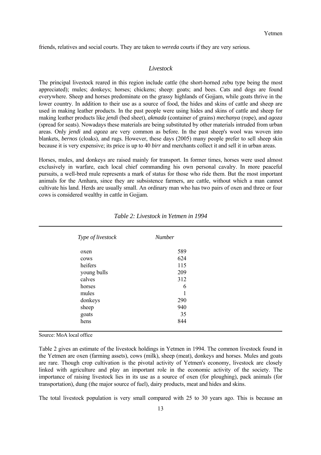<span id="page-12-0"></span>friends, relatives and social courts. They are taken to *wereda* courts if they are very serious.

#### *Livestock*

The principal livestock reared in this region include cattle (the short-horned zebu type being the most appreciated); mules; donkeys; horses; chickens; sheep: goats; and bees. Cats and dogs are found everywhere. Sheep and horses predominate on the grassy highlands of Gojjam, while goats thrive in the lower country. In addition to their use as a source of food, the hides and skins of cattle and sheep are used in making leather products. In the past people were using hides and skins of cattle and sheep for making leather products like *jendi* (bed sheet), *akmada* (container of grains) *mechanya* (rope), and *agoza*  (spread for seats). Nowadays these materials are being substituted by other materials intruded from urban areas. Only *jendi* and *agoza* are very common as before. In the past sheep's wool was woven into blankets, *bernos* (cloaks), and rugs. However, these days (2005) many people prefer to sell sheep skin because it is very expensive; its price is up to 40 *birr* and merchants collect it and sell it in urban areas.

Horses, mules, and donkeys are raised mainly for transport. In former times, horses were used almost exclusively in warfare, each local chief commanding his own personal cavalry. In more peaceful pursuits, a well-bred mule represents a mark of status for those who ride them. But the most important animals for the Amhara, since they are subsistence farmers, are cattle, without which a man cannot cultivate his land. Herds are usually small. An ordinary man who has two pairs of oxen and three or four cows is considered wealthy in cattle in Gojjam.

| Type of livestock | <b>Number</b> |  |
|-------------------|---------------|--|
| oxen              | 589           |  |
| cows              | 624           |  |
| heifers           | 115           |  |
| young bulls       | 209           |  |
| calves            | 312           |  |
| horses            | 6             |  |
| mules             | 1             |  |
| donkeys           | 290           |  |
| sheep             | 940           |  |
| goats             | 35            |  |
| hens              | 844           |  |

|  | Table 2: Livestock in Yetmen in 1994 |  |  |
|--|--------------------------------------|--|--|
|--|--------------------------------------|--|--|

Source: MoA local office

l

Table 2 gives an estimate of the livestock holdings in Yetmen in 1994. The common livestock found in the Yetmen are oxen (farming assets), cows (milk), sheep (meat), donkeys and horses. Mules and goats are rare. Though crop cultivation is the pivotal activity of Yetmen's economy, livestock are closely linked with agriculture and play an important role in the economic activity of the society. The importance of raising livestock lies in its use as a source of oxen (for ploughing), pack animals (for transportation), dung (the major source of fuel), dairy products, meat and hides and skins.

The total livestock population is very small compared with 25 to 30 years ago. This is because an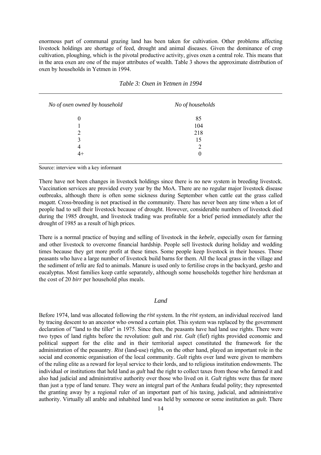<span id="page-13-0"></span>enormous part of communal grazing land has been taken for cultivation. Other problems affecting livestock holdings are shortage of feed, drought and animal diseases. Given the dominance of crop cultivation, ploughing, which is the pivotal productive activity, gives oxen a central role. This means that in the area oxen are one of the major attributes of wealth. Table 3 shows the approximate distribution of oxen by households in Yetmen in 1994.

| No of oxen owned by household | No of households |  |
|-------------------------------|------------------|--|
| $\theta$                      | 85               |  |
|                               | 104              |  |
| 2                             | 218              |  |
| 3                             | 15               |  |
| 4                             | ∍                |  |
| 4+                            | $\theta$         |  |

*Table 3: Oxen in Yetmen in 1994*

Source: interview with a key informant

There have not been changes in livestock holdings since there is no new system in breeding livestock. Vaccination services are provided every year by the MoA. There are no regular major livestock disease outbreaks, although there is often some sickness during September when cattle eat the grass called *magatt.* Cross-breeding is not practised in the community. There has never been any time when a lot of people had to sell their livestock because of drought. However, considerable numbers of livestock died during the 1985 drought, and livestock trading was profitable for a brief period immediately after the drought of 1985 as a result of high prices.

There is a normal practice of buying and selling of livestock in the *kebele*, especially oxen for farming and other livestock to overcome financial hardship. People sell livestock during holiday and wedding times because they get more profit at these times. Some people keep livestock in their houses. Those peasants who have a large number of livestock build barns for them. All the local grass in the village and the sediment of *tella* are fed to animals. Manure is used only to fertilise crops in the backyard, *gesho* and eucalyptus. Most families keep cattle separately, although some households together hire herdsman at the cost of 20 *birr* per household plus meals.

#### *Land*

Before 1974, land was allocated following the *rist* system. In the *rist* system, an individual received land by tracing descent to an ancestor who owned a certain plot. This system was replaced by the government declaration of "land to the tiller" in 1975. Since then, the peasants have had land use rights. There were two types of land rights before the revolution: *gult* and *rist*. *Gult* (fief) rights provided economic and political support for the elite and in their territorial aspect constituted the framework for the administration of the peasantry. *Rist* (land-use) rights, on the other hand, played an important role in the social and economic organisation of the local community. *Gult* rights over land were given to members of the ruling elite as a reward for loyal service to their lords, and to religious institution endowments. The individual or institutions that held land as *gult* had the right to collect taxes from those who farmed it and also had judicial and administrative authority over those who lived on it. *Gult* rights were thus far more than just a type of land tenure. They were an integral part of the Amhara feudal polity; they represented the granting away by a regional ruler of an important part of his taxing, judicial, and administrative authority. Virtually all arable and inhabited land was held by someone or some institution as *gult*. There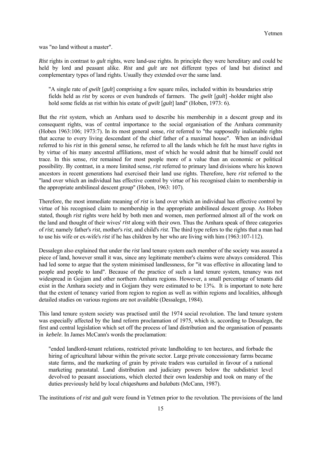was "no land without a master".

*Rist* rights in contrast to *gult* rights, were land-use rights. In principle they were hereditary and could be held by lord and peasant alike. *Rist* and *gult* are not different types of land but distinct and complementary types of land rights. Usually they extended over the same land.

"A single rate of *gwilt* [*gult*] comprising a few square miles, included within its boundaries strip fields held as *rist* by scores or even hundreds of farmers. The *gwilt* [*gult*] -holder might also hold some fields a*s* rist within his estate of *gwilt* [*gult*] land" (Hoben, 1973: 6).

But the *rist* system, which an Amhara used to describe his membership in a descent group and its consequent rights, was of central importance to the social organisation of the Amhara community (Hoben 1963:106; 1973:7). In its most general sense, *rist* referred to "the supposedly inalienable rights that accrue to every living descendant of the chief father of a maximal house". When an individual referred to his *rist* in this general sense, he referred to all the lands which he felt he must have rights in by virtue of his many ancestral affiliations, most of which he would admit that he himself could not trace. In this sense, *rist* remained for most people more of a value than an economic or political possibility. By contrast, in a more limited sense, *rist* referred to primary land divisions where his known ancestors in recent generations had exercised their land use rights. Therefore, here *rist* referred to the "land over which an individual has effective control by virtue of his recognised claim to membership in the appropriate ambilineal descent group" (Hoben, 1963: 107).

Therefore, the most immediate meaning of *rist* is land over which an individual has effective control by virtue of his recognised claim to membership in the appropriate ambilineal descent group. As Hoben stated, though *rist* rights were held by both men and women, men performed almost all of the work on the land and thought of their wives' *rist* along with their own. Thus the Amhara speak of three categories of *rist*; namely father's *rist*, mother's *rist*, and child's *rist*. The third type refers to the rights that a man had to use his wife or ex-wife's *rist* if he has children by her who are living with him (1963:107-112).

Dessalegn also explained that under the *rist* land tenure system each member of the society was assured a piece of land, however small it was, since any legitimate member's claims were always considered. This had led some to argue that the system minimised landlessness, for "it was effective in allocating land to people and people to land". Because of the practice of such a land tenure system, tenancy was not widespread in Gojjam and other northern Amhara regions. However, a small percentage of tenants did exist in the Amhara society and in Gojjam they were estimated to be 13%. It is important to note here that the extent of tenancy varied from region to region as well as within regions and localities, although detailed studies on various regions are not available (Dessalegn, 1984).

This land tenure system society was practised until the 1974 social revolution. The land tenure system was especially affected by the land reform proclamation of 1975, which is, according to Dessalegn, the first and central legislation which set off the process of land distribution and the organisation of peasants in *kebele*. In James McCann's words the proclamation:

"ended landlord-tenant relations, restricted private landholding to ten hectares, and forbade the hiring of agricultural labour within the private sector. Large private concessionary farms became state farms, and the marketing of grain by private traders was curtailed in favour of a national marketing parastatal. Land distribution and judiciary powers below the subdistrict level devolved to peasant associations, which elected their own leadership and took on many of the duties previously held by local *chiqashums* and *balabats* (McCann, 1987).

The institutions of *rist* and *gult* were found in Yetmen prior to the revolution. The provisions of the land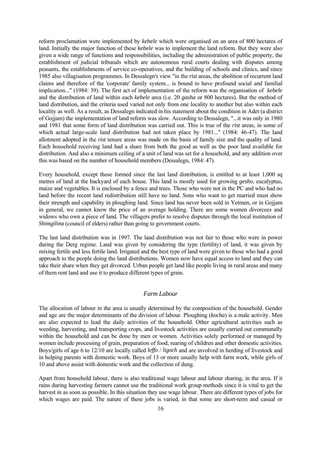<span id="page-15-0"></span>reform proclamation were implemented by *kebele* which were organised on an area of 800 hectares of land. Initially the major function of these *kebele* was to implement the land reform. But they were also given a wide range of functions and responsibilities, including the administration of public property, the establishment of judicial tribunals which are autonomous rural courts dealing with disputes among peasants, the establishments of service co-operatives, and the building of schools and clinics, and since 1985 also villagisation programmes. In Dessalegn's view "in the *rist* areas, the abolition of recurrent land claims and therefore of the 'corporate' family system... is bound to have profound social and familial implication..." (1984: 39). The first act of implementation of the reform was the organisation of *kebele* and the distribution of land within each *kebele* area (i.e. 20 *gasha* or 800 hectares). But the method of land distribution, and the criteria used varied not only from one locality to another but also within each locality as well. As a result, as Dessalegn indicated in his statement about the condition in Adet (a district of Gojjam) the implementation of land reform was slow. According to Dessalegn, "...it was only in 1980 and 1981 that some form of land distribution was carried out. This is true of the *rist* areas, in some of which actual large-scale land distribution had not taken place by 1981..." (1984: 46-47). The land allotment adopted in the *rist* tenure areas was made on the basis of family size and the quality of land. Each household receiving land had a share from both the good as well as the poor land available for distribution. And also a minimum ceiling of a unit of land was set for a household, and any addition over this was based on the number of household members (Dessalegn, 1984: 47).

Every household, except those formed since the last land distribution, is entitled to at least 1,000 sq metres of land at the backyard of each house. This land is mostly used for growing *gesho*, eucalyptus, maize and vegetables. It is enclosed by a fence and trees. Those who were not in the PC and who had no land before the recent land redistribution still have no land. Sons who want to get married must show their strength and capability in ploughing land. Since land has never been sold in Yetmen, or in Gojjam in general, we cannot know the price of an average holding. There are some women divorcees and widows who own a piece of land. The villagers prefer to resolve disputes through the local institution of *Shimgilina* (council of elders) rather than going to government courts.

The last land distribution was in 1997. The land distribution was not fair to those who were in power during the Derg regime. Land was given by considering the type (fertility) of land, it was given by mixing fertile and less fertile land. Irrigated and the best type of land were given to those who had a good approach to the people doing the land distributions. Women now have equal access to land and they can take their share when they get divorced. Urban people get land like people living in rural areas and many of them rent land and use it to produce different types of grain.

### *Farm Labour*

The allocation of labour in the area is usually determined by the composition of the household. Gender and age are the major determinants of the division of labour. Ploughing (*kocha*) is a male activity. Men are also expected to lead the daily activities of the household. Other agricultural activities such as weeding, harvesting, and transporting crops, and livestock activities are usually carried out communally within the household and can be done by men or women. Activities solely performed or managed by women include processing of grain, preparation of food, rearing of children and other domestic activities. Boys/girls of age 6 to 12/10 are locally called *leffo* / *ligoch* and are involved in herding of livestock and in helping parents with domestic work. Boys of 13 or more usually help with farm work, while girls of 10 and above assist with domestic work and the collection of dung.

Apart from household labour, there is also traditional wage labour and labour sharing, in the area. If it rains during harvesting farmers cannot use the traditional work group methods since it is vital to get the harvest in as soon as possible. In this situation they use wage labour. There are different types of jobs for which wages are paid. The nature of these jobs is varied, in that some are short-term and casual or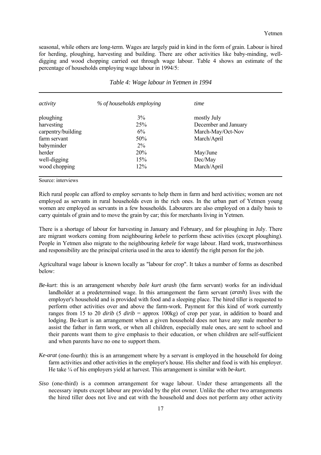seasonal, while others are long-term. Wages are largely paid in kind in the form of grain. Labour is hired for herding, ploughing, harvesting and building. There are other activities like baby-minding, welldigging and wood chopping carried out through wage labour. Table 4 shows an estimate of the percentage of households employing wage labour in 1994/5:

| activity           | % of households employing | time                 |
|--------------------|---------------------------|----------------------|
| ploughing          | $3\%$                     | mostly July          |
| harvesting         | 25%                       | December and January |
| carpentry/building | $6\%$                     | March-May/Oct-Nov    |
| farm servant       | 50%                       | March/April          |
| babyminder         | $2\%$                     |                      |
| herder             | 20%                       | May/June             |
| well-digging       | 15%                       | Dec/May              |
| wood chopping      | 12%                       | March/April          |

*Table 4: Wage labour in Yetmen in 1994*

Source: interviews

Rich rural people can afford to employ servants to help them in farm and herd activities; women are not employed as servants in rural households even in the rich ones. In the urban part of Yetmen young women are employed as servants in a few households. Labourers are also employed on a daily basis to carry quintals of grain and to move the grain by car; this for merchants living in Yetmen.

There is a shortage of labour for harvesting in January and February, and for ploughing in July. There are migrant workers coming from neighbouring *kebele* to perform these activities (except ploughing). People in Yetmen also migrate to the neighbouring *kebele* for wage labour. Hard work, trustworthiness and responsibility are the principal criteria used in the area to identify the right person for the job.

Agricultural wage labour is known locally as "labour for crop". It takes a number of forms as described below:

- *Be-kurt*: this is an arrangement whereby *bale kurt arash* (the farm servant) works for an individual landholder at a predetermined wage. In this arrangement the farm servant (*arash*) lives with the employer's household and is provided with food and a sleeping place. The hired tiller is requested to perform other activities over and above the farm-work. Payment for this kind of work currently ranges from 15 to 20 *dirib* (5 *dirib* = approx 100kg) of crop per year, in addition to board and lodging. Be-kurt is an arrangement when a given household does not have any male member to assist the father in farm work, or when all children, especially male ones, are sent to school and their parents want them to give emphasis to their education, or when children are self-sufficient and when parents have no one to support them.
- *Ke-arat* (one-fourth): this is an arrangement where by a servant is employed in the household for doing farm activities and other activities in the employer's house. His shelter and food is with his employer. He take ¼ of his employers yield at harvest. This arrangement is similar with *be-kurt.*
- *Siso* (one-third) is a common arrangement for wage labour. Under these arrangements all the necessary inputs except labour are provided by the plot owner. Unlike the other two arrangements the hired tiller does not live and eat with the household and does not perform any other activity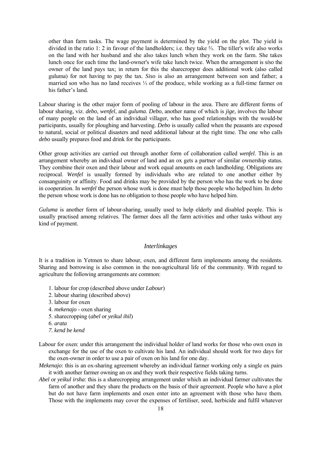<span id="page-17-0"></span>other than farm tasks. The wage payment is determined by the yield on the plot. The yield is divided in the ratio 1: 2 in favour of the landholders; i.e. they take ⅔. The tiller's wife also works on the land with her husband and she also takes lunch when they work on the farm. She takes lunch once for each time the land-owner's wife take lunch twice. When the arrangement is *siso* the owner of the land pays tax; in return for this the sharecropper does additional work (also called guluma) for not having to pay the tax. *Siso* is also an arrangement between son and father; a married son who has no land receives ⅓ of the produce, while working as a full-time farmer on his father's land.

Labour sharing is the other major form of pooling of labour in the area. There are different forms of labour sharing, viz. *debo*, *wenfel*, and *guluma*. *Debo*, another name of which is *jige,* involves the labour of many people on the land of an individual villager, who has good relationships with the would-be participants, usually for ploughing and harvesting. *Debo* is usually called when the peasants are exposed to natural, social or political disasters and need additional labour at the right time. The one who calls *debo* usually prepares food and drink for the participants.

Other group activities are carried out through another form of collaboration called *wenfel*. This is an arrangement whereby an individual owner of land and an ox gets a partner of similar ownership status. They combine their oxen and their labour and work equal amounts on each landholding. Obligations are reciprocal. *Wenfel* is usually formed by individuals who are related to one another either by consanguinity or affinity. Food and drinks may be provided by the person who has the work to be done in cooperation. In *wenfel* the person whose work is done must help those people who helped him. In *debo* the person whose work is done has no obligation to those people who have helped him.

*Guluma* is another form of labour-sharing, usually used to help elderly and disabled people. This is usually practised among relatives. The farmer does all the farm activities and other tasks without any kind of payment.

#### *Interlinkages*

It is a tradition in Yetmen to share labour, oxen, and different farm implements among the residents. Sharing and borrowing is also common in the non-agricultural life of the community. With regard to agriculture the following arrangements are common:

- 1. labour for crop (described above under *Labour*)
- 2. labour sharing (described above)
- 3. labour for oxen
- 4. *mekenajo* oxen sharing
- 5. sharecropping (*abel* or *yeikul ihil*)
- 6. *arata*
- *7. kend be kend*
- Labour for oxen: under this arrangement the individual holder of land works for those who own oxen in exchange for the use of the oxen to cultivate his land. An individual should work for two days for the oxen-owner in order to use a pair of oxen on his land for one day.
- *Mekenajo*: this is an ox-sharing agreement whereby an individual farmer working only a single ox pairs it with another farmer owning an ox and they work their respective fields taking turns.
- *Abel* or *yeikul irsha*: this is a sharecropping arrangement under which an individual farmer cultivates the farm of another and they share the products on the basis of their agreement. People who have a plot but do not have farm implements and oxen enter into an agreement with those who have them. Those with the implements may cover the expenses of fertiliser, seed, herbicide and fulfil whatever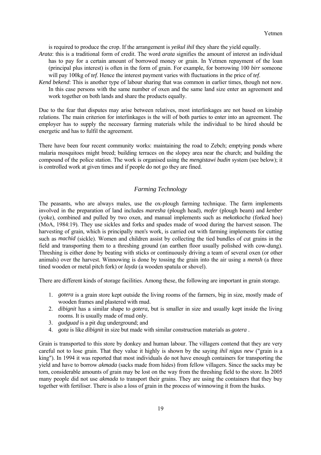<span id="page-18-0"></span>is required to produce the crop. If the arrangement is *yeikul ihil* they share the yield equally.

- *Arata*: this is a traditional form of credit. The word *arata* signifies the amount of interest an individual has to pay for a certain amount of borrowed money or grain. In Yetmen repayment of the loan (principal plus interest) is often in the form of grain. For example, for borrowing 100 *birr* someone will pay 100kg of *tef*. Hence the interest payment varies with fluctuations in the price of *tef*.
- *Kend bekend*: This is another type of labour sharing that was common in earlier times, though not now. In this case persons with the same number of oxen and the same land size enter an agreement and work together on both lands and share the products equally.

Due to the fear that disputes may arise between relatives, most interlinkages are not based on kinship relations. The main criterion for interlinkages is the will of both parties to enter into an agreement. The employer has to supply the necessary farming materials while the individual to be hired should be energetic and has to fulfil the agreement.

There have been four recent community works: maintaining the road to Zebch; emptying ponds where malaria mosquitoes might breed; building terraces on the slopey area near the church; and building the compound of the police station. The work is organised using the *mengistawi budin* system (see below); it is controlled work at given times and if people do not go they are fined.

#### *Farming Technology*

The peasants, who are always males, use the ox-plough farming technique. The farm implements involved in the preparation of land includes *maresha* (plough head), *mofer* (plough beam) and *kenber* (yoke), combined and pulled by two oxen, and manual implements such as *mekotkocha* (forked hoe) (MoA, 1984:19). They use sickles and forks and spades made of wood during the harvest season. The harvesting of grain, which is principally men's work, is carried out with farming implements for cutting such as *machid* (sickle). Women and children assist by collecting the tied bundles of cut grains in the field and transporting them to a threshing ground (an earthen floor usually polished with cow-dung). Threshing is either done by beating with sticks or continuously driving a team of several oxen (or other animals) over the harvest. Winnowing is done by tossing the grain into the air using a *mensh* (a three tined wooden or metal pitch fork) or *layda* (a wooden spatula or shovel).

There are different kinds of storage facilities. Among these, the following are important in grain storage.

- 1. *gotera* is a grain store kept outside the living rooms of the farmers, big in size, mostly made of wooden frames and plastered with mud.
- 2. *dibignit* has a similar shape to *gotera,* but is smaller in size and usually kept inside the living rooms. It is usually made of mud only.
- 3. *gudguad* is a pit dug underground; and
- 4. *gota* is like *dibignit* in size but made with similar construction materials as *gotera* .

Grain is transported to this store by donkey and human labour. The villagers contend that they are very careful not to lose grain. That they value it highly is shown by the saying *ihil nigus new* ("grain is a king"). In 1994 it was reported that most individuals do not have enough containers for transporting the yield and have to borrow *akmada* (sacks made from hides) from fellow villagers. Since the sacks may be torn, considerable amounts of grain may be lost on the way from the threshing field to the store. In 2005 many people did not use *akmada* to transport their grains. They are using the containers that they buy together with fertiliser. There is also a loss of grain in the process of winnowing it from the husks.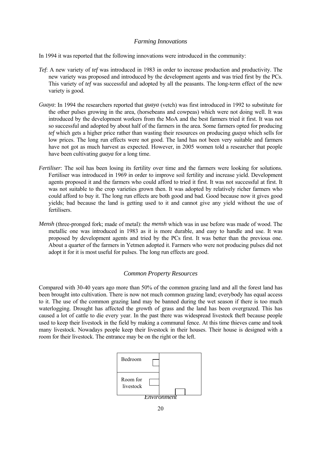#### *Farming Innovations*

<span id="page-19-0"></span>In 1994 it was reported that the following innovations were introduced in the community:

- *Tef*: A new variety of *tef* was introduced in 1983 in order to increase production and productivity. The new variety was proposed and introduced by the development agents and was tried first by the PCs. This variety of *tef* was successful and adopted by all the peasants. The long-term effect of the new variety is good.
- *Guaya*: In 1994 the researchers reported that *guaya* (vetch) was first introduced in 1992 to substitute for the other pulses growing in the area, (horsebeans and cowpeas) which were not doing well. It was introduced by the development workers from the MoA and the best farmers tried it first. It was not so successful and adopted by about half of the farmers in the area. Some farmers opted for producing *tef* which gets a higher price rather than wasting their resources on producing *guaya* which sells for low prices. The long run effects were not good. The land has not been very suitable and farmers have not got as much harvest as expected. However, in 2005 women told a researcher that people have been cultivating *guaya* for a long time.
- *Fertiliser*: The soil has been losing its fertility over time and the farmers were looking for solutions. Fertiliser was introduced in 1969 in order to improve soil fertility and increase yield. Development agents proposed it and the farmers who could afford to tried it first. It was not successful at first. It was not suitable to the crop varieties grown then. It was adopted by relatively richer farmers who could afford to buy it. The long run effects are both good and bad. Good because now it gives good yields; bad because the land is getting used to it and cannot give any yield without the use of fertilisers.
- *Mensh* (three-pronged fork; made of metal): the *mensh* which was in use before was made of wood. The metallic one was introduced in 1983 as it is more durable, and easy to handle and use. It was proposed by development agents and tried by the PCs first. It was better than the previous one. About a quarter of the farmers in Yetmen adopted it. Farmers who were not producing pulses did not adopt it for it is most useful for pulses. The long run effects are good.

#### *Common Property Resources*

Compared with 30-40 years ago more than 50% of the common grazing land and all the forest land has been brought into cultivation. There is now not much common grazing land; everybody has equal access to it. The use of the common grazing land may be banned during the wet season if there is too much waterlogging. Drought has affected the growth of grass and the land has been overgrazed. This has caused a lot of cattle to die every year. In the past there was widespread livestock theft because people used to keep their livestock in the field by making a communal fence. At this time thieves came and took many livestock. Nowadays people keep their livestock in their houses. Their house is designed with a room for their livestock. The entrance may be on the right or the left.

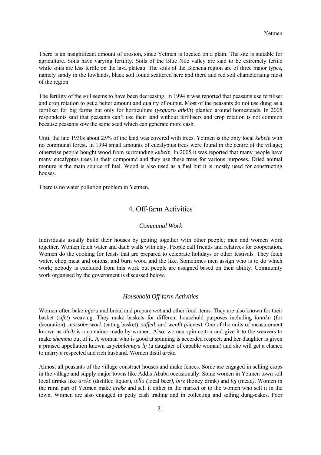<span id="page-20-0"></span>There is an insignificant amount of erosion, since Yetmen is located on a plain. The site is suitable for agriculture. Soils have varying fertility. Soils of the Blue Nile valley are said to be extremely fertile while soils are less fertile on the lava plateau. The soils of the Bichena region are of three major types, namely sandy in the lowlands, black soil found scattered here and there and red soil characterising most of the region.

The fertility of the soil seems to have been decreasing. In 1994 it was reported that peasants use fertiliser and crop rotation to get a better amount and quality of output. Most of the peasants do not use dung as a fertiliser for big farms but only for horticulture (*yeguaro atikilt*) planted around homesteads. In 2005 respondents said that peasants can't use their land without fertilisers and crop rotation is not common because peasants sow the same seed which can generate more cash.

Until the late 1930s about 25% of the land was covered with trees. Yetmen is the only local *kebele* with no communal forest. In 1994 small amounts of eucalyptus trees were found in the centre of the village; otherwise people bought wood from surrounding *kebele*. In 2005 it was reported that many people have many eucalyptus trees in their compound and they use these trees for various purposes. Dried animal manure is the main source of fuel. Wood is also used as a fuel but it is mostly used for constructing houses.

There is no water pollution problem in Yetmen.

## 4. Off-farm Activities

#### *Communal Work*

Individuals usually build their houses by getting together with other people; men and women work together. Women fetch water and daub walls with clay. People call friends and relatives for cooperation. Women do the cooking for feasts that are prepared to celebrate holidays or other festivals. They fetch water, chop meat and onions, and burn wood and the like. Sometimes men assign who is to do which work; nobody is excluded from this work but people are assigned based on their ability. Community work organised by the government is discussed below.

#### *Household Off-farm Activities*

Women often bake *injera* and bread and prepare *wot* and other food items. They are also known for their basket (*sifet*) weaving. They make baskets for different household purposes including *lantika* (for decoration), *massobe-work* (eating basket), *saffed*, and *wenfit (*sieves*)*. One of the units of measurement known as *dirib* is a container made by women. Also, women spin cotton and give it to the weavers to make *shemma* out of it. A woman who is good at spinning is accorded respect; and her daughter is given a praised appellation known as *yebalemuya lij* (a daughter of capable woman) and she will get a chance to marry a respected and rich husband. Women distil *areke.* 

Almost all peasants of the village construct houses and make fences. Some are engaged in selling crops in the village and supply major towns like Addis Ababa occasionally. Some women in Yetmen town sell local drinks like *areke* (distilled liquor), *tella (*local beer*)*, *birz* (honey drink) and *tej* (mead*)*. Women in the rural part of Yetmen make *areke* and sell it either in the market or to the women who sell it in the town. Women are also engaged in petty cash trading and in collecting and selling dung-cakes. Poor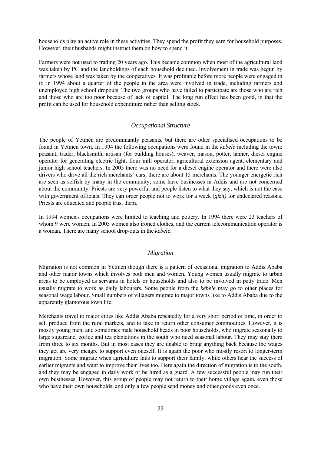<span id="page-21-0"></span>households play an active role in these activities. They spend the profit they earn for household purposes. However, their husbands might instruct them on how to spend it.

Farmers were not used to trading 20 years ago. This became common when most of the agricultural land was taken by PC and the landholdings of each household declined. Involvement in trade was begun by farmers whose land was taken by the cooperatives. It was profitable before more people were engaged in it: in 1994 about a quarter of the people in the area were involved in trade, including farmers and unemployed high school dropouts. The two groups who have failed to participate are those who are rich and those who are too poor because of lack of capital. The long run effect has been good, in that the profit can be used for household expenditure rather than selling stock.

#### *Occupational Structure*

The people of Yetmen are predominantly peasants, but there are other specialised occupations to be found in Yetmen town. In 1994 the following occupations were found in the *kebele* including the town: peasant, trader, blacksmith, artisan (for building houses), weaver, mason, potter, tanner, diesel engine operator for generating electric light, flour mill operator, agricultural extension agent, elementary and junior high school teachers. In 2005 there was no need for a diesel engine operator and there were also drivers who drive all the rich merchants' cars; there are about 15 merchants. The younger energetic rich are seen as selfish by many in the community; some have businesses in Addis and are not concerned about the community. Priests are very powerful and people listen to what they say, which is not the case with government officials. They can order people not to work for a week (*gizit)* for undeclared reasons. Priests are educated and people trust them.

In 1994 women's occupations were limited to teaching and pottery. In 1994 there were 23 teachers of whom 9 were women. In 2005 women also ironed clothes, and the current telecommunication operator is a woman. There are many school drop-outs in the *kebele*.

#### *Migration*

Migration is not common in Yetmen though there is a pattern of occasional migration to Addis Ababa and other major towns which involves both men and women. Young women usually migrate to urban areas to be employed as servants in hotels or households and also to be involved in petty trade. Men usually migrate to work as daily labourers. Some people from the *kebele* may go to other places for seasonal wage labour. Small numbers of villagers migrate to major towns like to Addis Ababa due to the apparently glamorous town life.

Merchants travel to major cities like Addis Ababa repeatedly for a very short period of time, in order to sell produce from the rural markets, and to take in return other consumer commodities. However, it is mostly young men, and sometimes male household heads in poor households, who migrate seasonally to large sugarcane, coffee and tea plantations in the south who need seasonal labour. They may stay there from three to six months. But in most cases they are unable to bring anything back because the wages they get are very meagre to support even oneself. It is again the poor who mostly resort to longer-term migration. Some migrate when agriculture fails to support their family, while others hear the success of earlier migrants and want to improve their lives too. Here again the direction of migration is to the south, and they may be engaged in daily work or be hired as a guard. A few successful people may run their own businesses. However, this group of people may not return to their home village again, even those who have their own households, and only a few people send money and other goods even once.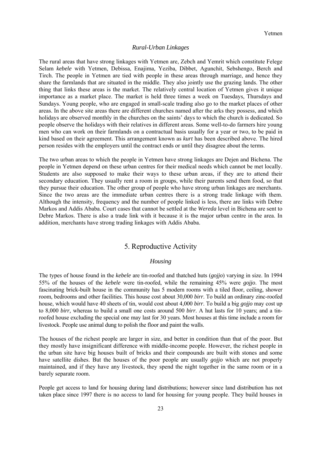#### *Rural-Urban Linkages*

<span id="page-22-0"></span>The rural areas that have strong linkages with Yetmen are, Zebch and Yemrit which constitute Felege Selam *kebele* with Yetmen, Debissa, Enajima, Yeziba, Dibbet, Agunchit, Sebshengo, Berch and Tirch. The people in Yetmen are tied with people in these areas through marriage, and hence they share the farmlands that are situated in the middle. They also jointly use the grazing lands. The other thing that links these areas is the market. The relatively central location of Yetmen gives it unique importance as a market place. The market is held three times a week on Tuesdays, Thursdays and Sundays. Young people, who are engaged in small-scale trading also go to the market places of other areas. In the above site areas there are different churches named after the arks they possess, and which holidays are observed monthly in the churches on the saints' days to which the church is dedicated. So people observe the holidays with their relatives in different areas. Some well-to-do farmers hire young men who can work on their farmlands on a contractual basis usually for a year or two, to be paid in kind based on their agreement. This arrangement known as *kurt* has been described above. The hired person resides with the employers until the contract ends or until they disagree about the terms.

The two urban areas to which the people in Yetmen have strong linkages are Dejen and Bichena. The people in Yetmen depend on these urban centres for their medical needs which cannot be met locally. Students are also supposed to make their ways to these urban areas, if they are to attend their secondary education. They usually rent a room in groups, while their parents send them food, so that they pursue their education. The other group of people who have strong urban linkages are merchants. Since the two areas are the immediate urban centres there is a strong trade linkage with them. Although the intensity, frequency and the number of people linked is less, there are links with Debre Markos and Addis Ababa. Court cases that cannot be settled at the *Wereda* level in Bichena are sent to Debre Markos. There is also a trade link with it because it is the major urban centre in the area. In addition, merchants have strong trading linkages with Addis Ababa.

### 5. Reproductive Activity

#### *Housing*

The types of house found in the *kebele* are tin-roofed and thatched huts (*gojjo*) varying in size. In 1994 55% of the houses of the *kebele* were tin-roofed, while the remaining 45% were *gojjo*. The most fascinating brick-built house in the community has 5 modern rooms with a tiled floor, ceiling, shower room, bedrooms and other facilities. This house cost about 30,000 *birr*. To build an ordinary zinc-roofed house, which would have 40 sheets of tin, would cost about 4,000 *birr*. To build a big *gojjo* may cost up to 8,000 *birr,* whereas to build a small one costs around 500 *birr*. A hut lasts for 10 years; and a tinroofed house excluding the special one may last for 30 years. Most houses at this time include a room for livestock. People use animal dung to polish the floor and paint the walls.

The houses of the richest people are larger in size, and better in condition than that of the poor. But they mostly have insignificant difference with middle-income people. However, the richest people in the urban site have big houses built of bricks and their compounds are built with stones and some have satellite dishes. But the houses of the poor people are usually *gojjo* which are not properly maintained, and if they have any livestock, they spend the night together in the same room or in a barely separate room.

People get access to land for housing during land distributions; however since land distribution has not taken place since 1997 there is no access to land for housing for young people. They build houses in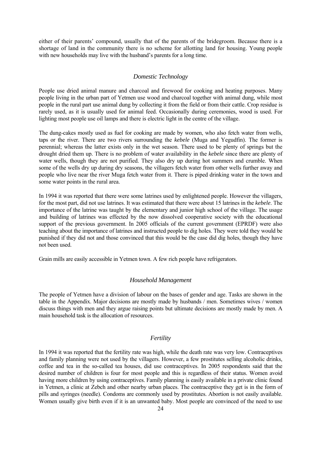<span id="page-23-0"></span>either of their parents' compound, usually that of the parents of the bridegroom. Because there is a shortage of land in the community there is no scheme for allotting land for housing. Young people with new households may live with the husband's parents for a long time.

#### *Domestic Technology*

People use dried animal manure and charcoal and firewood for cooking and heating purposes. Many people living in the urban part of Yetmen use wood and charcoal together with animal dung, while most people in the rural part use animal dung by collecting it from the field or from their cattle. Crop residue is rarely used, as it is usually used for animal feed. Occasionally during ceremonies, wood is used. For lighting most people use oil lamps and there is electric light in the centre of the village.

The dung-cakes mostly used as fuel for cooking are made by women, who also fetch water from wells, taps or the river. There are two rivers surrounding the *kebele* (Muga and Yegudfin). The former is perennial; whereas the latter exists only in the wet season. There used to be plenty of springs but the drought dried them up. There is no problem of water availability in the *kebele* since there are plenty of water wells, though they are not purified. They also dry up during hot summers and crumble. When some of the wells dry up during dry seasons, the villagers fetch water from other wells further away and people who live near the river Muga fetch water from it. There is piped drinking water in the town and some water points in the rural area.

In 1994 it was reported that there were some latrines used by enlightened people. However the villagers, for the most part, did not use latrines. It was estimated that there were about 15 latrines in the *kebele*. The importance of the latrine was taught by the elementary and junior high school of the village. The usage and building of latrines was effected by the now dissolved cooperative society with the educational support of the previous government. In 2005 officials of the current government (EPRDF) were also teaching about the importance of latrines and instructed people to dig holes. They were told they would be punished if they did not and those convinced that this would be the case did dig holes, though they have not been used.

Grain mills are easily accessible in Yetmen town. A few rich people have refrigerators.

#### *Household Management*

The people of Yetmen have a division of labour on the bases of gender and age. Tasks are shown in the table in the Appendix. Major decisions are mostly made by husbands / men. Sometimes wives / women discuss things with men and they argue raising points but ultimate decisions are mostly made by men. A main household task is the allocation of resources.

#### *Fertility*

In 1994 it was reported that the fertility rate was high, while the death rate was very low. Contraceptives and family planning were not used by the villagers. However, a few prostitutes selling alcoholic drinks, coffee and tea in the so-called tea houses, did use contraceptives. In 2005 respondents said that the desired number of children is four for most people and this is regardless of their status. Women avoid having more children by using contraceptives. Family planning is easily available in a private clinic found in Yetmen, a clinic at Zebch and other nearby urban places. The contraceptive they get is in the form of pills and syringes (needle). Condoms are commonly used by prostitutes. Abortion is not easily available. Women usually give birth even if it is an unwanted baby. Most people are convinced of the need to use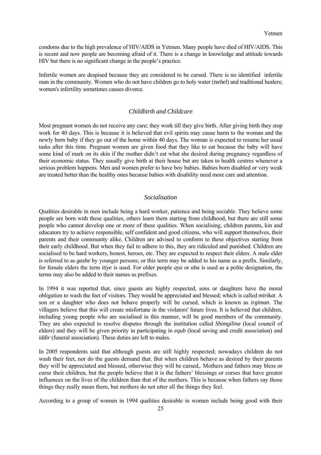<span id="page-24-0"></span>condoms due to the high prevalence of HIV/AIDS in Yetmen. Many people have died of HIV/AIDS. This is recent and now people are becoming afraid of it. There is a change in knowledge and attitude towards HIV but there is no significant change in the people's practice.

Infertile women are despised because they are considered to be cursed. There is no identified infertile man in the community. Women who do not have children go to holy water (*tsebel*) and traditional healers; women's infertility sometimes causes divorce.

#### *Childbirth and Childcare*

Most pregnant women do not receive any care; they work till they give birth. After giving birth they stop work for 40 days. This is because it is believed that evil spirits may cause harm to the woman and the newly born baby if they go out of the home within 40 days. The woman is expected to resume her usual tasks after this time. Pregnant women are given food that they like to eat because the baby will have some kind of mark on its skin if the mother didn't eat what she desired during pregnancy regardless of their economic status. They usually give birth at their house but are taken to health centres whenever a serious problem happens. Men and women prefer to have boy babies. Babies born disabled or very weak are treated better than the healthy ones because babies with disability need more care and attention.

#### *Socialisation*

Qualities desirable in men include being a hard worker, patience and being sociable. They believe some people are born with these qualities, others learn them starting from childhood, but there are still some people who cannot develop one or more of these qualities. When socialising, children parents, kin and educators try to achieve responsible, self confident and good citizens, who will support themselves, their parents and their community alike. Children are advised to conform to these objectives starting from their early childhood. But when they fail to adhere to this, they are ridiculed and punished. Children are socialised to be hard workers, honest, heroes, etc. They are expected to respect their elders. A male elder is referred to as *gashe* by younger persons; or this term may be added to his name as a prefix. Similarly, for female elders the term *itiye* is used. For older people *aya* or *aba* is used as a polite designation, the terms may also be added to their names as prefixes.

In 1994 it was reported that, since guests are highly respected, sons or daughters have the moral obligation to wash the feet of visitors. They would be appreciated and blessed; which is called *mirikat*. A son or a daughter who does not behave properly will be cursed, which is known as *irgiman*. The villagers believe that this will create misfortune in the violators' future lives. It is believed that children, including young people who are socialised in this manner, will be good members of the community. They are also expected to resolve disputes through the institution called *Shimgilina* (local council of elders) and they will be given priority in participating in *equb* (local saving and credit association) and *iddir* (funeral association). These duties are left to males.

In 2005 respondents said that although guests are still highly respected; nowadays children do not wash their feet, nor do the guests demand that. But when children behave as desired by their parents they will be appreciated and blessed, otherwise they will be cursed,. Mothers and fathers may bless or curse their children, but the people believe that it is the fathers' blessings or curses that have greater influences on the lives of the children than that of the mothers. This is because when fathers say those things they really mean them, but mothers do not utter all the things they feel.

According to a group of women in 1994 qualities desirable in women include being good with their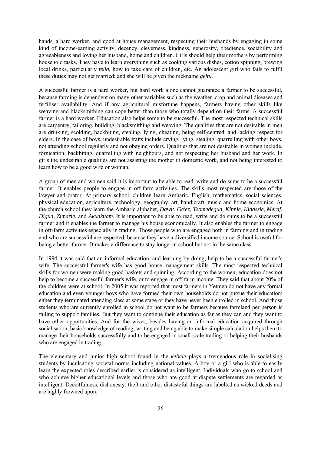hands, a hard worker, and good at house management, respecting their husbands by engaging in some kind of income-earning activity, decency, cleverness, kindness, generosity, obedience, sociability and agreeableness and loving her husband, home and children. Girls should help their mothers by performing household tasks. They have to learn everything such as cooking various dishes, cotton spinning, brewing local drinks, particularly *tella,* how to take care of children, etc. An adolescent girl who fails to fulfil these duties may not get married; and she will be given the nickname *geltu*.

A successful farmer is a hard worker, but hard work alone cannot guarantee a farmer to be successful, because farming is dependent on many other variables such as the weather, crop and animal diseases and fertiliser availability. And if any agricultural misfortune happens, farmers having other skills like weaving and blacksmithing can cope better than those who totally depend on their farms. A successful farmer is a hard worker. Education also helps some to be successful. The most respected technical skills are carpentry, tailoring, building, blacksmithing and weaving. The qualities that are not desirable in men are drinking, scolding, backbiting, stealing, lying, cheating, being self-centred, and lacking respect for elders. In the case of boys, undesirable traits include crying, lying, stealing, quarrelling with other boys, not attending school regularly and not obeying orders. Qualities that are not desirable in women include, fornication, backbiting, quarrelling with neighbours, and not respecting her husband and her work. In girls the undesirable qualities are not assisting the mother in domestic work, and not being interested to learn how to be a good wife or woman.

A group of men and women said it is important to be able to read, write and do sums to be a successful farmer. It enables people to engage in off-farm activities. The skills most respected are those of the lawyer and orator. At primary school, children learn Amharic, English, mathematics, social sciences, physical education, agriculture, technology, geography, art, handicraft, music and home economics. At the church school they learn the Amharic alphabet, *Dawit*, *Ge'ez*, *Tsomedegua*, *Kinnie*, *Kidassie*, *Meraf*, *Digua*, *Zimarie*, and *Akuakuam*. It is important to be able to read, write and do sums to be a successful farmer and it enables the farmer to manage his house economically. It also enables the farmer to engage in off-farm activities especially in trading. Those people who are engaged both in farming and in trading and who are successful are respected, because they have a diversified income source. School is useful for being a better farmer. It makes a difference to stay longer at school but not in the same class.

In 1994 it was said that an informal education, and learning by doing, help to be a successful farmer's wife. The successful farmer's wife has good house management skills. The most respected technical skills for women were making good baskets and spinning. According to the women, education does not help to become a successful farmer's wife, or to engage in off-farm income. They said that about 20% of the children were at school. In 2005 it was reported that most farmers in Yetmen do not have any formal education and even younger boys who have formed their own households do not pursue their education; either they terminated attending class at some stage or they have never been enrolled in school. And those students who are currently enrolled in school do not want to be farmers because farmland per person is failing to support families. But they want to continue their education as far as they can and they want to have other opportunities. And for the wives, besides having an informal education acquired through socialisation, basic knowledge of reading, writing and being able to make simple calculation helps them to manage their households successfully and to be engaged in small scale trading or helping their husbands who are engaged in trading.

The elementary and junior high school found in the *kebele* plays a tremendous role in socialising students by inculcating societal norms including national values. A boy or a girl who is able to easily learn the expected roles described earlier is considered as intelligent. Individuals who go to school and who achieve higher educational levels and those who are good at dispute settlements are regarded as intelligent. Deceitfulness, dishonesty, theft and other distasteful things are labelled as wicked deeds and are highly frowned upon.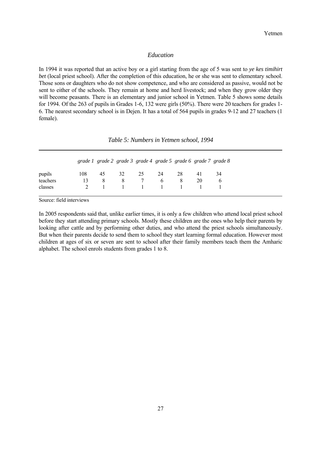#### *Education*

<span id="page-26-0"></span>In 1994 it was reported that an active boy or a girl starting from the age of 5 was sent to *ye kes timihirt bet* (local priest school). After the completion of this education, he or she was sent to elementary school. Those sons or daughters who do not show competence, and who are considered as passive, would not be sent to either of the schools. They remain at home and herd livestock; and when they grow older they will become peasants. There is an elementary and junior school in Yetmen. Table 5 shows some details for 1994. Of the 263 of pupils in Grades 1-6, 132 were girls (50%). There were 20 teachers for grades 1- 6. The nearest secondary school is in Dejen. It has a total of 564 pupils in grades 9-12 and 27 teachers (1 female).

|  |  | Table 5: Numbers in Yetmen school, 1994 |  |  |
|--|--|-----------------------------------------|--|--|
|--|--|-----------------------------------------|--|--|

|          |     |    |    |                    |              |     | grade 1 grade 2 grade 3 grade 4 grade 5 grade 6 grade 7 grade 8 |              |
|----------|-----|----|----|--------------------|--------------|-----|-----------------------------------------------------------------|--------------|
| pupils   | 108 | 45 | 32 | 25                 | -24          | -28 | 41                                                              | 34           |
| teachers | 13  | 8  | 8  | $\overline{7}$     | $\mathsf{f}$ | 8   | 20                                                              | $\mathsf{f}$ |
| classes  |     |    |    | $1 \t 1 \t 1 \t 1$ |              |     |                                                                 |              |

Source: field interviews

In 2005 respondents said that, unlike earlier times, it is only a few children who attend local priest school before they start attending primary schools. Mostly these children are the ones who help their parents by looking after cattle and by performing other duties, and who attend the priest schools simultaneously. But when their parents decide to send them to school they start learning formal education. However most children at ages of six or seven are sent to school after their family members teach them the Amharic alphabet. The school enrols students from grades 1 to 8.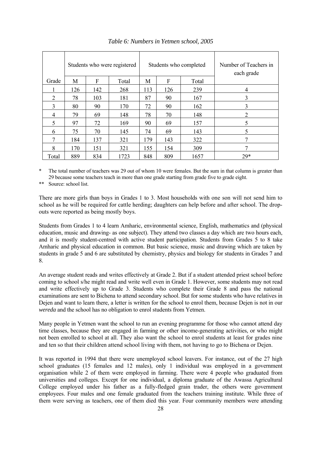|       |     |     | Students who were registered |     |     | Students who completed | Number of Teachers in<br>each grade |
|-------|-----|-----|------------------------------|-----|-----|------------------------|-------------------------------------|
| Grade | M   | F   | Total                        | M   | F   | Total                  |                                     |
|       | 126 | 142 | 268                          | 113 | 126 | 239                    | $\overline{4}$                      |
| 2     | 78  | 103 | 181                          | 87  | 90  | 167                    | 3                                   |
| 3     | 80  | 90  | 170                          | 72  | 90  | 162                    | 3                                   |
| 4     | 79  | 69  | 148                          | 78  | 70  | 148                    | 2                                   |
| 5     | 97  | 72  | 169                          | 90  | 69  | 157                    | 5                                   |
| 6     | 75  | 70  | 145                          | 74  | 69  | 143                    | 5                                   |
| 7     | 184 | 137 | 321                          | 179 | 143 | 322                    | 7                                   |
| 8     | 170 | 151 | 321                          | 155 | 154 | 309                    | ┑                                   |
| Total | 889 | 834 | 1723                         | 848 | 809 | 1657                   | 29*                                 |

*Table 6: Numbers in Yetmen school, 2005*

\* The total number of teachers was 29 out of whom 10 were females. But the sum in that column is greater than 29 because some teachers teach in more than one grade starting from grade five to grade eight.

\*\* Source: school list.

There are more girls than boys in Grades 1 to 3. Most households with one son will not send him to school as he will be required for cattle herding; daughters can help before and after school. The dropouts were reported as being mostly boys.

Students from Grades 1 to 4 learn Amharic, environmental science, English, mathematics and (physical education, music and drawing- as one subject). They attend two classes a day which are two hours each, and it is mostly student-centred with active student participation. Students from Grades 5 to 8 take Amharic and physical education in common. But basic science, music and drawing which are taken by students in grade 5 and 6 are substituted by chemistry, physics and biology for students in Grades 7 and 8.

An average student reads and writes effectively at Grade 2. But if a student attended priest school before coming to school s/he might read and write well even in Grade 1. However, some students may not read and write effectively up to Grade 3. Students who complete their Grade 8 and pass the national examinations are sent to Bichena to attend secondary school. But for some students who have relatives in Dejen and want to learn there, a letter is written for the school to enrol them, because Dejen is not in our *wereda* and the school has no obligation to enrol students from Yetmen.

Many people in Yetmen want the school to run an evening programme for those who cannot attend day time classes, because they are engaged in farming or other income-generating activities, or who might not been enrolled to school at all. They also want the school to enrol students at least for grades nine and ten so that their children attend school living with them, not having to go to Bichena or Dejen.

It was reported in 1994 that there were unemployed school leavers. For instance, out of the 27 high school graduates (15 females and 12 males), only 1 individual was employed in a government organisation while 2 of them were employed in farming. There were 4 people who graduated from universities and colleges. Except for one individual, a diploma graduate of the Awassa Agricultural College employed under his father as a fully-fledged grain trader, the others were government employees. Four males and one female graduated from the teachers training institute. While three of them were serving as teachers, one of them died this year. Four community members were attending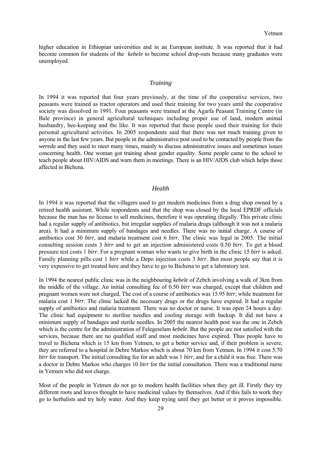<span id="page-28-0"></span>higher education in Ethiopian universities and in an European institute. It was reported that it had become common for students of the *kebele* to become school drop-outs because many graduates were unemployed.

#### *Training*

In 1994 it was reported that four years previously, at the time of the cooperative services, two peasants were trained as tractor operators and used their training for two years until the cooperative society was dissolved in 1991. Four peasants were trained at the Agarfa Peasant Training Centre (in Bale province) in general agricultural techniques including proper use of land, modern animal husbandry, bee-keeping and the like. It was reported that these people used their training for their personal agricultural activities. In 2005 respondents said that there was not much training given to anyone in the last few years. But people in the administrative post used to be contacted by people from the *wereda* and they used to meet many times, mainly to discuss administrative issues and sometimes issues concerning health. One woman got training about gender equality. Some people came to the school to teach people about HIV/AIDS and warn them in meetings. There is an HIV/AIDS club which helps those affected in Bichena.

#### *Health*

In 1994 it was reported that the villagers used to get modern medicines from a drug shop owned by a retired health assistant. While respondents said that the shop was closed by the local EPRDF officials because the man has no license to sell medicines, therefore it was operating illegally. This private clinic had a regular supply of antibiotics, but irregular supplies of malaria drugs (although it was not a malaria area). It had a minimum supply of bandages and needles. There was no initial charge. A course of antibiotics cost 30 *birr*, and malaria treatment cost 6 *birr*. The clinic was legal in 2005. The initial consulting session costs 3 *birr* and to get an injection administered costs 0.50 *birr*. To get a blood pressure test costs 1 *birr*. For a pregnant woman who wants to give birth in the clinic 15 *birr* is asked. Family planning pills cost 1 *birr* while a Depo injection costs 3 *birr*. But most people say that it is very expensive to get treated here and they have to go to Bichena to get a laboratory test.

In 1994 the nearest public clinic was in the neighbouring *kebele* of Zebch involving a walk of 3km from the middle of the village. An initial consulting fee of 0.50 *birr* was charged, except that children and pregnant women were not charged. The cost of a course of antibiotics was 15.95 *birr*, while treatment for malaria cost 1 *birr*. The clinic lacked the necessary drugs or the drugs have expired. It had a regular supply of antibiotics and malaria treatment. There was no doctor or nurse. It was open 24 hours a day. The clinic had equipment to sterilise needles and cooling storage with backup. It did not have a minimum supply of bandages and sterile needles. In 2005 the nearest health post was the one in Zebch which is the centre for the administration of Felegeselam *kebele*. But the people are not satisfied with the services, because there are no qualified staff and most medicines have expired. Thus people have to travel to Bichena which is 15 km from Yetmen, to get a better service and, if their problem is severe, they are referred to a hospital in Debre Markos which is about 70 km from Yetmen. In 1994 it cost 5.70 *birr* for transport. The initial consulting fee for an adult was 1 *birr*, and for a child it was free. There was a doctor in Debre Markos who charges 10 *birr* for the initial consultation. There was a traditional nurse in Yetmen who did not charge.

Most of the people in Yetmen do not go to modern health facilities when they get ill. Firstly they try different roots and leaves thought to have medicinal values by themselves. And if this fails to work they go to herbalists and try holy water. And they keep trying until they get better or it proves impossible.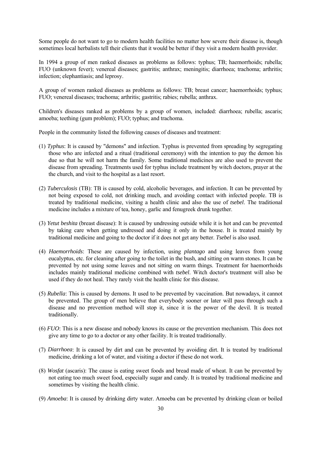Some people do not want to go to modern health facilities no matter how severe their disease is, though sometimes local herbalists tell their clients that it would be better if they visit a modern health provider.

In 1994 a group of men ranked diseases as problems as follows: typhus; TB; haemorrhoids; rubella; FUO (unknown fever); venereal diseases; gastritis; anthrax; meningitis; diarrhoea; trachoma; arthritis; infection; elephantiasis; and leprosy.

A group of women ranked diseases as problems as follows: TB; breast cancer; haemorrhoids; typhus; FUO; venereal diseases; trachoma; arthritis; gastritis; rabies; rubella; anthrax.

Children's diseases ranked as problems by a group of women, included: diarrhoea; rubella; ascaris; amoeba; teething (gum problem); FUO; typhus; and trachoma.

People in the community listed the following causes of diseases and treatment:

- (1) *Typhus*: It is caused by "demons" and infection. Typhus is prevented from spreading by segregating those who are infected and a ritual (traditional ceremony) with the intention to pay the demon his due so that he will not harm the family. Some traditional medicines are also used to prevent the disease from spreading. Treatments used for typhus include treatment by witch doctors, prayer at the the church, and visit to the hospital as a last resort.
- (2) *Tuberculosis* (TB): TB is caused by cold, alcoholic beverages, and infection. It can be prevented by not being exposed to cold, not drinking much, and avoiding contact with infected people. TB is treated by traditional medicine, visiting a health clinic and also the use of *tsebel*. The traditional medicine includes a mixture of tea, honey, garlic and fenugreek drunk together.
- (3) *Yetut beshita* (breast disease): It is caused by undressing outside while it is hot and can be prevented by taking care when getting undressed and doing it only in the house. It is treated mainly by traditional medicine and going to the doctor if it does not get any better. *Tsebel* is also used.
- (4) *Haemorrhoids*: These are caused by infection, using *plantago* and using leaves from young eucalyptus, etc. for cleaning after going to the toilet in the bush, and sitting on warm stones. It can be prevented by not using some leaves and not sitting on warm things. Treatment for haemorrhoids includes mainly traditional medicine combined with *tsebel*. Witch doctor's treatment will also be used if they do not heal. They rarely visit the health clinic for this disease.
- (5) *Rubella*: This is caused by demons. It used to be prevented by vaccination. But nowadays, it cannot be prevented. The group of men believe that everybody sooner or later will pass through such a disease and no prevention method will stop it, since it is the power of the devil. It is treated traditionally.
- (6) *FUO*: This is a new disease and nobody knows its cause or the prevention mechanism. This does not give any time to go to a doctor or any other facility. It is treated traditionally.
- (7) *Diarrhoea*: It is caused by dirt and can be prevented by avoiding dirt. It is treated by traditional medicine, drinking a lot of water, and visiting a doctor if these do not work.
- (8) *Wosfat* (ascaris): The cause is eating sweet foods and bread made of wheat. It can be prevented by not eating too much sweet food, especially sugar and candy. It is treated by traditional medicine and sometimes by visiting the health clinic.
- (9) *Amoeba*: It is caused by drinking dirty water. Amoeba can be prevented by drinking clean or boiled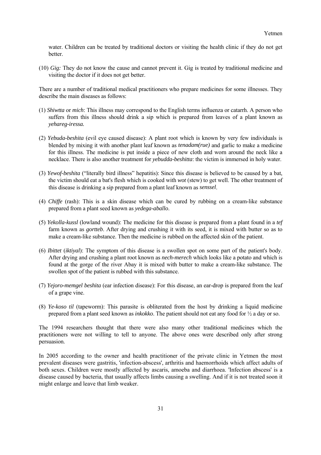water. Children can be treated by traditional doctors or visiting the health clinic if they do not get better.

(10) *Gig:* They do not know the cause and cannot prevent it. Gig is treated by traditional medicine and visiting the doctor if it does not get better.

There are a number of traditional medical practitioners who prepare medicines for some illnesses. They describe the main diseases as follows:

- (1) *Shiwtta* or *mich*: This illness may correspond to the English terms influenza or catarrh. A person who suffers from this illness should drink a sip which is prepared from leaves of a plant known as *yehareg-iressa.*
- (2) *Yebuda-beshita* (evil eye caused disease): A plant root which is known by very few individuals is blended by mixing it with another plant leaf known as *tenadam(rue)* and garlic to make a medicine for this illness. The medicine is put inside a piece of new cloth and worn around the neck like a necklace. There is also another treatment for *yebudda-beshitta*: the victim is immersed in holy water.
- (3) *Yewof-beshita* ("literally bird illness" hepatitis): Since this disease is believed to be caused by a bat, the victim should eat a bat's flesh which is cooked with *wot* (stew) to get well. The other treatment of this disease is drinking a sip prepared from a plant leaf known as *senssel*.
- (4) *Chiffe* (rash): This is a skin disease which can be cured by rubbing on a cream-like substance prepared from a plant seed known as *yedega-aballo*.
- (5) *Yekolla-kussl* (lowland wound): The medicine for this disease is prepared from a plant found in a *tef*  farm known as *gortteb*. After drying and crushing it with its seed, it is mixed with butter so as to make a cream-like substance. Then the medicine is rubbed on the affected skin of the patient.
- (6) *Ibittet* (*iktiyal*): The symptom of this disease is a swollen spot on some part of the patient's body. After drying and crushing a plant root known as *nech-merech* which looks like a potato and which is found at the gorge of the river Abay it is mixed with butter to make a cream-like substance. The swollen spot of the patient is rubbed with this substance.
- (7) *Yejoro-memgel beshita* (ear infection disease): For this disease, an ear-drop is prepared from the leaf of a grape vine.
- (8) *Ye-koso til* (tapeworm): This parasite is obliterated from the host by drinking a liquid medicine prepared from a plant seed known as *inkokko*. The patient should not eat any food for ½ a day or so.

The 1994 researchers thought that there were also many other traditional medicines which the practitioners were not willing to tell to anyone. The above ones were described only after strong persuasion.

In 2005 according to the owner and health practitioner of the private clinic in Yetmen the most prevalent diseases were gastritis, 'infection-abscess', arthritis and haemorrhoids which affect adults of both sexes. Children were mostly affected by ascaris, amoeba and diarrhoea. 'Infection abscess' is a disease caused by bacteria, that usually affects limbs causing a swelling. And if it is not treated soon it might enlarge and leave that limb weaker.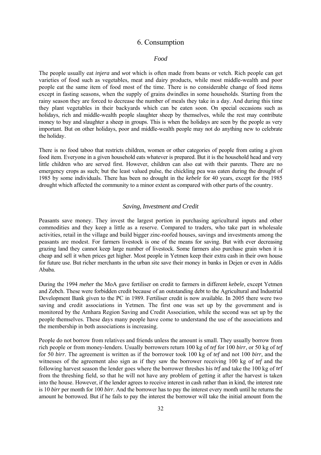### 6. Consumption

#### <span id="page-31-0"></span> *Food*

The people usually eat *injera* and *wot* which is often made from beans or vetch. Rich people can get varieties of food such as vegetables, meat and dairy products, while most middle-wealth and poor people eat the same item of food most of the time. There is no considerable change of food items except in fasting seasons, when the supply of grains dwindles in some households. Starting from the rainy season they are forced to decrease the number of meals they take in a day. And during this time they plant vegetables in their backyards which can be eaten soon. On special occasions such as holidays, rich and middle-wealth people slaughter sheep by themselves, while the rest may contribute money to buy and slaughter a sheep in groups. This is when the holidays are seen by the people as very important. But on other holidays, poor and middle-wealth people may not do anything new to celebrate the holiday.

There is no food taboo that restricts children, women or other categories of people from eating a given food item. Everyone in a given household eats whatever is prepared. But it is the household head and very little children who are served first. However, children can also eat with their parents. There are no emergency crops as such; but the least valued pulse, the chickling pea was eaten during the drought of 1985 by some individuals. There has been no drought in the *kebele* for 40 years, except for the 1985 drought which affected the community to a minor extent as compared with other parts of the country.

#### *Saving, Investment and Credit*

Peasants save money. They invest the largest portion in purchasing agricultural inputs and other commodities and they keep a little as a reserve. Compared to traders, who take part in wholesale activities, retail in the village and build bigger zinc-roofed houses, savings and investments among the peasants are modest. For farmers livestock is one of the means for saving. But with ever decreasing grazing land they cannot keep large number of livestock. Some farmers also purchase grain when it is cheap and sell it when prices get higher. Most people in Yetmen keep their extra cash in their own house for future use. But richer merchants in the urban site save their money in banks in Dejen or even in Addis Ababa.

During the 1994 *meher* the MoA gave fertiliser on credit to farmers in different *kebele*, except Yetmen and Zebch. These were forbidden credit because of an outstanding debt to the Agricultural and Industrial Development Bank given to the PC in 1989. Fertiliser credit is now available. In 2005 there were two saving and credit associations in Yetmen. The first one was set up by the government and is monitored by the Amhara Region Saving and Credit Association, while the second was set up by the people themselves. These days many people have come to understand the use of the associations and the membership in both associations is increasing.

People do not borrow from relatives and friends unless the amount is small. They usually borrow from rich people or from money-lenders. Usually borrowers return 100 kg of *tef* for 100 *birr*, or 50 kg of *tef* for 50 *birr*. The agreement is written as if the borrower took 100 kg of *tef* and not 100 *birr*, and the witnesses of the agreement also sign as if they saw the borrower receiving 100 kg of *tef* and the following harvest season the lender goes where the borrower threshes his *tef* and take the 100 kg of *te*f from the threshing field, so that he will not have any problem of getting it after the harvest is taken into the house. However, if the lender agrees to receive interest in cash rather than in kind, the interest rate is 10 *birr* per month for 100 *birr*. And the borrower has to pay the interest every month until he returns the amount he borrowed. But if he fails to pay the interest the borrower will take the initial amount from the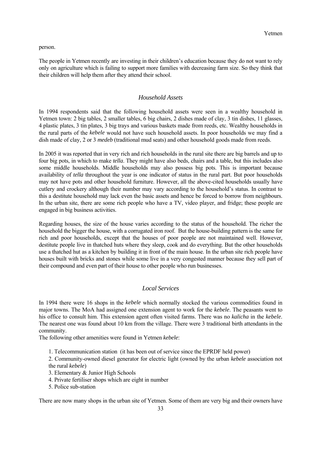<span id="page-32-0"></span>person.

The people in Yetmen recently are investing in their children's education because they do not want to rely only on agriculture which is failing to support more families with decreasing farm size. So they think that their children will help them after they attend their school.

#### *Household Assets*

In 1994 respondents said that the following household assets were seen in a wealthy household in Yetmen town: 2 big tables, 2 smaller tables, 6 big chairs, 2 dishes made of clay, 3 tin dishes, 11 glasses, 4 plastic plates, 3 tin plates, 3 big trays and various baskets made from reeds, etc. Wealthy households in the rural parts of the *kebele* would not have such household assets. In poor households we may find a dish made of clay, 2 or 3 *medeb* (traditional mud seats) and other household goods made from reeds.

In 2005 it was reported that in very rich and rich households in the rural site there are big barrels and up to four big pots, in which to make *tella*. They might have also beds, chairs and a table, but this includes also some middle households. Middle households may also possess big pots. This is important because availability of *tella* throughout the year is one indicator of status in the rural part. But poor households may not have pots and other household furniture. However, all the above-cited households usually have cutlery and crockery although their number may vary according to the household's status. In contrast to this a destitute household may lack even the basic assets and hence be forced to borrow from neighbours. In the urban site, there are some rich people who have a TV, video player, and fridge; these people are engaged in big business activities.

Regarding houses, the size of the house varies according to the status of the household. The richer the household the bigger the house, with a corrugated iron roof. But the house-building pattern is the same for rich and poor households, except that the houses of poor people are not maintained well. However, destitute people live in thatched huts where they sleep, cook and do everything. But the other households use a thatched hut as a kitchen by building it in front of the main house. In the urban site rich people have houses built with bricks and stones while some live in a very congested manner because they sell part of their compound and even part of their house to other people who run businesses.

#### *Local Services*

In 1994 there were 16 shops in the *kebele* which normally stocked the various commodities found in major towns. The MoA had assigned one extension agent to work for the *kebele*. The peasants went to his office to consult him. This extension agent often visited farms. There was no *kalicha* in the *kebele*. The nearest one was found about 10 km from the village. There were 3 traditional birth attendants in the community.

The following other amenities were found in Yetmen *kebele*:

1. Telecommunication station (it has been out of service since the EPRDF held power)

 2. Community-owned diesel generator for electric light (owned by the urban *kebele* association not the rural *kebele*)

- 3. Elementary & Junior High Schools
- 4. Private fertiliser shops which are eight in number
- 5. Police sub-station

There are now many shops in the urban site of Yetmen. Some of them are very big and their owners have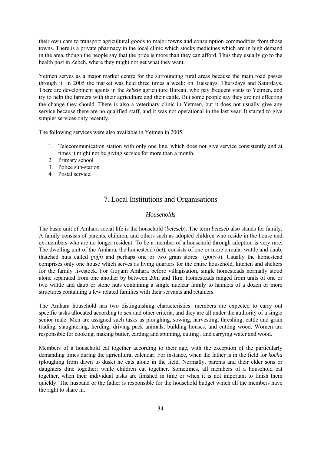<span id="page-33-0"></span>their own cars to transport agricultural goods to major towns and consumption commodities from those towns. There is a private pharmacy in the local clinic which stocks medicines which are in high demand in the area, though the people say that the price is more than they can afford. Thus they usually go to the health post in Zebch, where they might not get what they want.

Yetmen serves as a major market centre for the surrounding rural areas because the main road passes through it. In 2005 the market was held three times a week: on Tuesdays, Thursdays and Saturdays. There are development agents in the *kebele* agriculture Bureau, who pay frequent visits to Yetmen, and try to help the farmers with their agriculture and their cattle. But some people say they are not effecting the change they should. There is also a veterinary clinic in Yetmen, but it does not usually give any service because there are no qualified staff, and it was not operational in the last year. It started to give simpler services only recently.

The following services were also available in Yetmen in 2005.

- 1. Telecommunication station with only one line, which does not give service consistently and at times it might not be giving service for more than a month.
- 2. Primary school
- 3. Police sub-station
- 4. Postal service.

# 7. Local Institutions and Organisations

#### *Households*

The basic unit of Amhara social life is the household (*beteseb*). The term *beteseb* also stands for family. A family consists of parents, children, and others such as adopted children who reside in the house and ex-members who are no longer resident. To be a member of a household through adoption is very rare. The dwelling unit of the Amhara, the homestead (*bet*), consists of one or more circular wattle and daub, thatched huts called *gojjo* and perhaps one or two grain stores (*gotera*). Usually the homestead comprises only one house which serves as living quarters for the entire household, kitchen and shelters for the family livestock. For Gojjam Amhara before villagisation, single homesteads normally stood alone separated from one another by between 20m and 1km. Homesteads ranged from units of one or two wattle and daub or stone huts containing a single nuclear family to hamlets of a dozen or more structures containing a few related families with their servants and retainers.

The Amhara household has two distinguishing characteristics: members are expected to carry out specific tasks allocated according to sex and other criteria, and they are all under the authority of a single senior male. Men are assigned such tasks as ploughing, sowing, harvesting, threshing, cattle and grain trading, slaughtering, herding, driving pack animals, building houses, and cutting wood. Women are responsible for cooking, making butter, carding and spinning, cutting , and carrying water and wood.

Members of a household eat together according to their age, with the exception of the particularly demanding times during the agricultural calendar. For instance, when the father is in the field for *kocha*  (ploughing from dawn to dusk) he eats alone in the field. Normally, parents and their elder sons or daughters dine together; while children eat together. Sometimes, all members of a household eat together, when their individual tasks are finished in time or when it is not important to finish them quickly. The husband or the father is responsible for the household budget which all the members have the right to share in.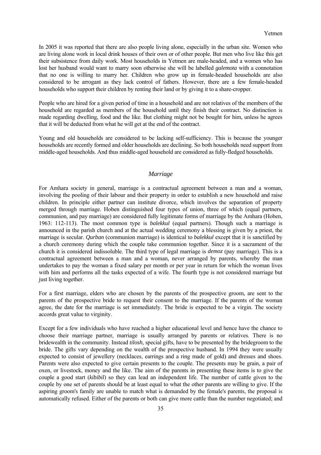<span id="page-34-0"></span>In 2005 it was reported that there are also people living alone, especially in the urban site. Women who are living alone work in local drink houses of their own or of other people. But men who live like this get their subsistence from daily work. Most households in Yetmen are male-headed, and a women who has lost her husband would want to marry soon otherwise she will be labelled *galemota* with a connotation that no one is willing to marry her. Children who grow up in female-headed households are also considered to be arrogant as they lack control of fathers. However, there are a few female-headed households who support their children by renting their land or by giving it to a share-cropper.

People who are hired for a given period of time in a household and are not relatives of the members of the household are regarded as members of the household until they finish their contract. No distinction is made regarding dwelling, food and the like. But clothing might not be bought for him, unless he agrees that it will be deducted from what he will get at the end of the contract.

Young and old households are considered to be lacking self-sufficiency. This is because the younger households are recently formed and older households are declining. So both households need support from middle-aged households. And thus middle-aged household are considered as fully-fledged households.

#### *Marriage*

For Amhara society in general, marriage is a contractual agreement between a man and a woman, involving the pooling of their labour and their property in order to establish a new household and raise children. In principle either partner can institute divorce, which involves the separation of property merged through marriage. Hoben distinguished four types of union, three of which (equal partners, communion, and pay marriage) are considered fully legitimate forms of marriage by the Amhara (Hoben, 1963: 112-113). The most common type is *balekkul* (equal partners). Though such a marriage is announced in the parish church and at the actual wedding ceremony a blessing is given by a priest, the marriage is secular. *Qurban* (communion marriage) is identical to *balekkul* except that it is sanctified by a church ceremony during which the couple take communion together. Since it is a sacrament of the church it is considered indissoluble. The third type of legal marriage is *demoz* (pay marriage). This is a contractual agreement between a man and a woman, never arranged by parents, whereby the man undertakes to pay the woman a fixed salary per month or per year in return for which the woman lives with him and performs all the tasks expected of a wife. The fourth type is not considered marriage but just living together.

For a first marriage, elders who are chosen by the parents of the prospective groom, are sent to the parents of the prospective bride to request their consent to the marriage. If the parents of the woman agree, the date for the marriage is set immediately. The bride is expected to be a virgin. The society accords great value to virginity.

Except for a few individuals who have reached a higher educational level and hence have the chance to choose their marriage partner, marriage is usually arranged by parents or relatives. There is no bridewealth in the community. Instead *tilosh*, special gifts, have to be presented by the bridegroom to the bride. The gifts vary depending on the wealth of the prospective husband. In 1994 they were usually expected to consist of jewellery (necklaces, earrings and a ring made of gold) and dresses and shoes. Parents were also expected to give certain presents to the couple. The presents may be grain, a pair of oxen, or livestock, money and the like. The aim of the parents in presenting these items is to give the couple a good start (*kibibil*) so they can lead an independent life. The number of cattle given to the couple by one set of parents should be at least equal to what the other parents are willing to give. If the aspiring groom's family are unable to match what is demanded by the female's parents, the proposal is automatically refused. Either of the parents or both can give more cattle than the number negotiated; and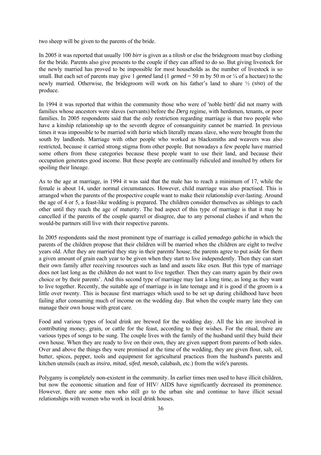two sheep will be given to the parents of the bride.

In 2005 it was reported that usually 100 *birr* is given as a *tilosh* or else the bridegroom must buy clothing for the bride. Parents also give presents to the couple if they can afford to do so. But giving livestock for the newly married has proved to be impossible for most households as the number of livestock is so small. But each set of parents may give 1 *gemed* land (1 *gemed* = 50 m by 50 m or ¼ of a hectare) to the newly married. Otherwise, the bridegroom will work on his father's land to share ⅓ (*siso*) of the produce.

In 1994 it was reported that within the community those who were of 'noble birth' did not marry with families whose ancestors were slaves (servants) before the *Derg* regime, with herdsmen, tenants, or poor families. In 2005 respondents said that the only restriction regarding marriage is that two people who have a kinship relationship up to the seventh degree of consanguinity cannot be married. In previous times it was impossible to be married with *baria* which literally means slave, who were brought from the south by landlords. Marriage with other people who worked as blacksmiths and weavers was also restricted, because it carried strong stigma from other people. But nowadays a few people have married some others from these categories because these people want to use their land, and because their occupation generates good income. But these people are continually ridiculed and insulted by others for spoiling their lineage.

As to the age at marriage, in 1994 it was said that the male has to reach a minimum of 17, while the female is about 14, under normal circumstances. However, child marriage was also practised. This is arranged when the parents of the prospective couple want to make their relationship ever-lasting. Around the age of 4 or 5, a feast-like wedding is prepared. The children consider themselves as siblings to each other until they reach the age of maturity. The bad aspect of this type of marriage is that it may be cancelled if the parents of the couple quarrel or disagree, due to any personal clashes if and when the would-be partners still live with their respective parents.

In 2005 respondents said the most prominent type of marriage is called *yemadego gabicha* in which the parents of the children propose that their children will be married when the children are eight to twelve years old. After they are married they stay in their parents' house; the parents agree to put aside for them a given amount of grain each year to be given when they start to live independently. Then they can start their own family after receiving resources such as land and assets like oxen. But this type of marriage does not last long as the children do not want to live together. Then they can marry again by their own choice or by their parents'. And this second type of marriage may last a long time, as long as they want to live together. Recently, the suitable age of marriage is in late teenage and it is good if the groom is a little over twenty. This is because first marriages which used to be set up during childhood have been failing after consuming much of income on the wedding day. But when the couple marry late they can manage their own house with great care.

Food and various types of local drink are brewed for the wedding day. All the kin are involved in contributing money, grain, or cattle for the feast, according to their wishes. For the ritual, there are various types of songs to be sung. The couple lives with the family of the husband until they build their own house. When they are ready to live on their own, they are given support from parents of both sides. Over and above the things they were promised at the time of the wedding, they are given flour, salt, oil, butter, spices, pepper, tools and equipment for agricultural practices from the husband's parents and kitchen utensils (such as *insira*, *mitad*, *sifed*, *mesob*, calabash, etc.) from the wife's parents.

Polygamy is completely non-existent in the community. In earlier times men used to have illicit children, but now the economic situation and fear of HIV/ AIDS have significantly decreased its prominence. However, there are some men who still go to the urban site and continue to have illicit sexual relationships with women who work in local drink houses.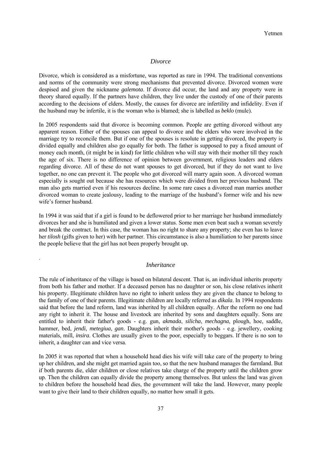#### *Divorce*

<span id="page-36-0"></span>Divorce, which is considered as a misfortune, was reported as rare in 1994. The traditional conventions and norms of the community were strong mechanisms that prevented divorce. Divorced women were despised and given the nickname *galemota*. If divorce did occur, the land and any property were in theory shared equally. If the partners have children, they live under the custody of one of their parents according to the decisions of elders. Mostly, the causes for divorce are infertility and infidelity. Even if the husband may be infertile, it is the woman who is blamed; she is labelled as *beklo* (mule).

In 2005 respondents said that divorce is becoming common. People are getting divorced without any apparent reason. Either of the spouses can appeal to divorce and the elders who were involved in the marriage try to reconcile them. But if one of the spouses is resolute in getting divorced, the property is divided equally and children also go equally for both. The father is supposed to pay a fixed amount of money each month, (it might be in kind) for little children who will stay with their mother till they reach the age of six. There is no difference of opinion between government, religious leaders and elders regarding divorce. All of these do not want spouses to get divorced, but if they do not want to live together, no one can prevent it. The people who got divorced will marry again soon. A divorced woman especially is sought out because she has resources which were divided from her previous husband. The man also gets married even if his resources decline. In some rare cases a divorced man marries another divorced woman to create jealousy, leading to the marriage of the husband's former wife and his new wife's former husband.

In 1994 it was said that if a girl is found to be deflowered prior to her marriage her husband immediately divorces her and she is humiliated and given a lower status. Some men even beat such a woman severely and break the contract. In this case, the woman has no right to share any property; she even has to leave her *tilosh* (gifts given to her) with her partner. This circumstance is also a humiliation to her parents since the people believe that the girl has not been properly brought up.

#### *Inheritance*

.

The rule of inheritance of the village is based on bilateral descent. That is, an individual inherits property from both his father and mother. If a deceased person has no daughter or son, his close relatives inherit his property. Illegitimate children have no right to inherit unless they are given the chance to belong to the family of one of their parents. Illegitimate children are locally referred as *dikala*. In 1994 respondents said that before the land reform, land was inherited by all children equally. After the reform no one had any right to inherit it. The house and livestock are inherited by sons and daughters equally. Sons are entitled to inherit their father's goods - e.g. gun, *akmada*, *silicha*, *mechagna*, plough, hoe, saddle, hammer, bed, *jendi*, *metegiua*, *gan*. Daughters inherit their mother's goods - e.g. jewellery, cooking materials, mill, *insira*. Clothes are usually given to the poor, especially to beggars. If there is no son to inherit, a daughter can and vice versa.

In 2005 it was reported that when a household head dies his wife will take care of the property to bring up her children, and she might get married again too, so that the new husband manages the farmland. But if both parents die, elder children or close relatives take charge of the property until the children grow up. Then the children can equally divide the property among themselves. But unless the land was given to children before the household head dies, the government will take the land. However, many people want to give their land to their children equally, no matter how small it gets.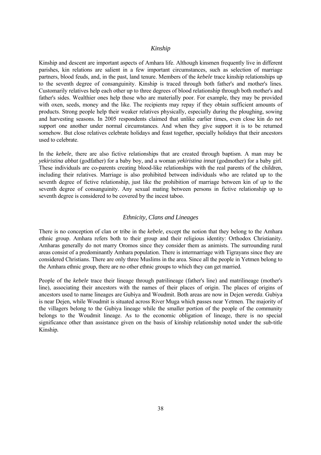#### *Kinship*

<span id="page-37-0"></span>Kinship and descent are important aspects of Amhara life. Although kinsmen frequently live in different parishes, kin relations are salient in a few important circumstances, such as selection of marriage partners, blood feuds, and, in the past, land tenure. Members of the *kebele* trace kinship relationships up to the seventh degree of consanguinity. Kinship is traced through both father's and mother's lines. Customarily relatives help each other up to three degrees of blood relationship through both mother's and father's sides. Wealthier ones help those who are materially poor. For example, they may be provided with oxen, seeds, money and the like. The recipients may repay if they obtain sufficient amounts of products. Strong people help their weaker relatives physically, especially during the ploughing, sowing and harvesting seasons. In 2005 respondents claimed that unlike earlier times, even close kin do not support one another under normal circumstances. And when they give support it is to be returned somehow. But close relatives celebrate holidays and feast together, specially holidays that their ancestors used to celebrate.

In the *kebele*, there are also fictive relationships that are created through baptism. A man may be *yekiristina abbat* (godfather) for a baby boy, and a woman *yekiristina innat* (godmother) for a baby girl. These individuals are co-parents creating blood-like relationships with the real parents of the children, including their relatives. Marriage is also prohibited between individuals who are related up to the seventh degree of fictive relationship, just like the prohibition of marriage between kin of up to the seventh degree of consanguinity. Any sexual mating between persons in fictive relationship up to seventh degree is considered to be covered by the incest taboo.

#### *Ethnicity, Clans and Lineages*

There is no conception of clan or tribe in the *kebele*, except the notion that they belong to the Amhara ethnic group. Amhara refers both to their group and their religious identity: Orthodox Christianity. Amharas generally do not marry Oromos since they consider them as animists. The surrounding rural areas consist of a predominantly Amhara population. There is intermarriage with Tigrayans since they are considered Christians. There are only three Muslims in the area. Since all the people in Yetmen belong to the Amhara ethnic group, there are no other ethnic groups to which they can get married.

People of the *kebele* trace their lineage through patrilineage (father's line) and matrilineage (mother's line), associating their ancestors with the names of their places of origin. The places of origins of ancestors used to name lineages are Gubiya and Woudmit. Both areas are now in Dejen *wereda*. Gubiya is near Dejen, while Woudmit is situated across River Muga which passes near Yetmen. The majority of the villagers belong to the Gubiya lineage while the smaller portion of the people of the community belongs to the Woudmit lineage. As to the economic obligation of lineage, there is no special significance other than assistance given on the basis of kinship relationship noted under the sub-title Kinship*.*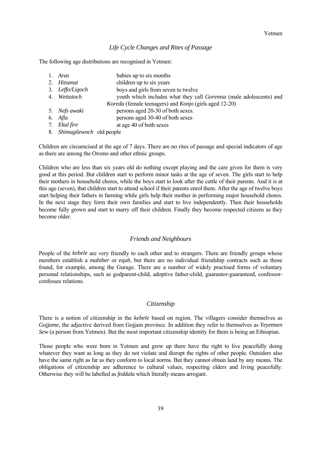#### *Life Cycle Changes and Rites of Passage*

<span id="page-38-0"></span>The following age distributions are recognised in Yetmen:

| 1. Aras         | babies up to six months                                            |
|-----------------|--------------------------------------------------------------------|
| 2. Hitsanat     | children up to six years                                           |
| 3. Leffo/Ligoch | boys and girls from seven to twelve                                |
| 4. Wettatoch    | youth which includes what they call Goremsa (male adolescents) and |
|                 | Koreda (female teenagers) and Konjo (girls aged 12-20)             |
| 5. Nefs awaki   | persons aged 20-30 of both sexes.                                  |
| 6. Afla         | persons aged 30-40 of both sexes                                   |
| 7. Ekul fire    | at age 40 of both sexes                                            |
|                 |                                                                    |

8. *Shimagilewoch* old people

Children are circumcised at the age of 7 days. There are no rites of passage and special indicators of age as there are among the Oromo and other ethnic groups.

Children who are less than six years old do nothing except playing and the care given for them is very good at this period. But children start to perform minor tasks at the age of seven. The girls start to help their mothers in household chores, while the boys start to look after the cattle of their parents. And it is at this age (seven), that children start to attend school if their parents enrol them. After the age of twelve boys start helping their fathers in farming while girls help their mother in performing major household chores. In the next stage they form their own families and start to live independently. Then their households become fully grown and start to marry off their children. Finally they become respected citizens as they become older.

#### *Friends and Neighbours*

People of the *kebele* are very friendly to each other and to strangers. There are friendly groups whose members establish a *mahiber* or *equb*, but there are no individual friendship contracts such as those found, for example, among the Gurage. There are a number of widely practised forms of voluntary personal relationships, such as godparent-child, adoptive father-child, guarantor-guaranteed, confessorconfessee relations.

#### *Citizenship*

There is a notion of citizenship in the *kebele* based on region. The villagers consider themselves as *Gojjame*, the adjective derived from Gojjam province. In addition they refer to themselves as *Yeyetmen Sew* (a person from Yetmen). But the most important citizenship identity for them is being an Ethiopian.

Those people who were born in Yetmen and grew up there have the right to live peacefully doing whatever they want as long as they do not violate and disrupt the rights of other people. Outsiders also have the same right as far as they conform to local norms. But they cannot obtain land by any means. The obligations of citizenship are adherence to cultural values, respecting elders and living peacefully. Otherwise they will be labelled as *feddala* which literally means arrogant.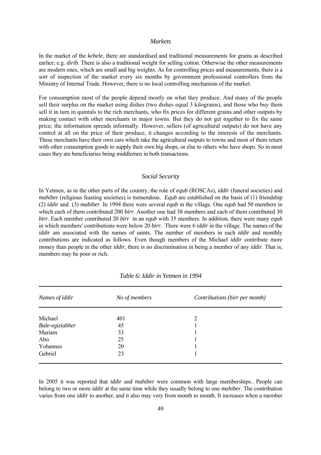#### *Markets*

<span id="page-39-0"></span>In the market of the *kebele*, there are standardised and traditional measurements for grains as described earlier; e.g. *dirib*. There is also a traditional weight for selling cotton. Otherwise the other measurements are modern ones, which are small and big weights. As for controlling prices and measurements, there is a sort of inspection of the market every six months by government professional controllers from the Ministry of Internal Trade. However, there is no local controlling mechanism of the market.

For consumption most of the people depend mostly on what they produce. And many of the people sell their surplus on the market using dishes (two dishes equal 3 kilograms), and those who buy them sell it in turn in quintals to the rich merchants, who fix prices for different grains and other outputs by making contact with other merchants in major towns. But they do not get together to fix the same price; the information spreads informally. However, sellers (of agricultural outputs) do not have any control at all on the price of their produce, it changes according to the interests of the merchants. These merchants have their own cars which take the agricultural outputs to towns and most of them return with other consumption goods to supply their own big shops, or else to others who have shops. So in most cases they are beneficiaries being middlemen in both transactions.

#### *Social Security*

In Yetmen, as in the other parts of the country, the role of *equb* (ROSCAs), *iddir* (funeral societies) and *mahiber* (religious feasting societies) is tremendous. *Equb* are established on the basis of (1) friendship (2) *iddir* and (3) *mahiber*. In 1994 there were several *equb* in the village. One *equb* had 50 members in which each of them contributed 200 *birr*. Another one had 38 members and each of them contributed 30 *birr*. Each member contributed 20 *birr* in an *equb* with 35 members. In addition, there were many *equb*  in which members' contributions were below 20 *birr.* There were 6 *iddir* in the village. The names of the *iddir* are associated with the names of saints. The number of members in each *iddir* and monthly contributions are indicated as follows. Even though members of the Michael *iddir* contribute more money than people in the other *iddir*, there is no discrimination in being a member of any *iddir*. That is, members may be poor or rich.

| Names of iddir  | No of members | Contributions (birr per month) |
|-----------------|---------------|--------------------------------|
| Michael         | 401           | $\overline{2}$                 |
| Bale-egiziabher | 45            |                                |
| Mariam          | 33            |                                |
| Abo             | 25            |                                |
| Yohannes        | 20            |                                |
| Gebriel         | 23            |                                |

*Table 6: Iddir in Yetmen in 1994*

In 2005 it was reported that *iddir* and *mahiber* were common with large memberships.. People can belong to two or more *iddir* at the same time while they usually belong to one *mahiber*. The contribution varies from one *iddir* to another, and it also may very from month to month. It increases when a member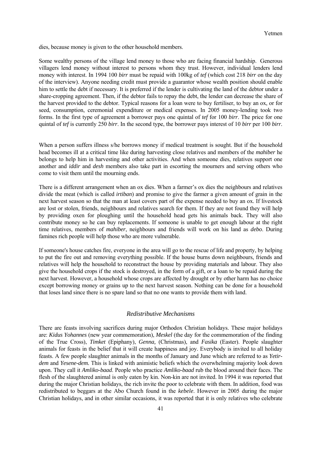<span id="page-40-0"></span>dies, because money is given to the other household members.

Some wealthy persons of the village lend money to those who are facing financial hardship. Generous villagers lend money without interest to persons whom they trust. However, individual lenders lend money with interest. In 1994 100 *birr* must be repaid with 100kg of *tef* (which cost 218 *birr* on the day of the interview). Anyone needing credit must provide a guarantor whose wealth position should enable him to settle the debt if necessary. It is preferred if the lender is cultivating the land of the debtor under a share-cropping agreement. Then, if the debtor fails to repay the debt, the lender can decrease the share of the harvest provided to the debtor. Typical reasons for a loan were to buy fertiliser, to buy an ox, or for seed, consumption, ceremonial expenditure or medical expenses. In 2005 money-lending took two forms. In the first type of agreement a borrower pays one quintal of *tef* for 100 *birr*. The price for one quintal of *tef* is currently 250 *birr*. In the second type, the borrower pays interest of 10 *birr* per 100 *birr*.

When a person suffers illness s/he borrows money if medical treatment is sought. But if the household head becomes ill at a critical time like during harvesting close relatives and members of the *mahiber* he belongs to help him in harvesting and other activities. And when someone dies, relatives support one another and *iddir* and *desh* members also take part in escorting the mourners and serving others who come to visit them until the mourning ends.

There is a different arrangement when an ox dies. When a farmer's ox dies the neighbours and relatives divide the meat (which is called *irtiban*) and promise to give the farmer a given amount of grain in the next harvest season so that the man at least covers part of the expense needed to buy an ox. If livestock are lost or stolen, friends, neighbours and relatives search for them. If they are not found they will help by providing oxen for ploughing until the household head gets his animals back. They will also contribute money so he can buy replacements. If someone is unable to get enough labour at the right time relatives, members of *mahiber*, neighbours and friends will work on his land as *debo*. During famines rich people will help those who are more vulnerable.

If someone's house catches fire, everyone in the area will go to the rescue of life and property, by helping to put the fire out and removing everything possible. If the house burns down neighbours, friends and relatives will help the household to reconstruct the house by providing materials and labour. They also give the household crops if the stock is destroyed, in the form of a gift, or a loan to be repaid during the next harvest. However, a household whose crops are affected by drought or by other harm has no choice except borrowing money or grains up to the next harvest season. Nothing can be done for a household that loses land since there is no spare land so that no one wants to provide them with land.

#### *Redistributive Mechanisms*

There are feasts involving sacrifices during major Orthodox Christian holidays. These major holidays are: *Kidus Yohannes* (new year commemoration), *Meskel* (the day for the commemoration of the finding of the True Cross), *Timket* (Epiphany), *Genna,* (Christmas), and *Fasika* (Easter). People slaughter animals for feasts in the belief that it will create happiness and joy. Everybody is invited to all holiday feasts. A few people slaughter animals in the months of January and June which are referred to as *Yetirdem* and *Yesene-dem.* This is linked with animistic beliefs which the overwhelming majority look down upon. They call it *Amliko-baad*. People who practice *Amliko-baad* rub the blood around their faces. The flesh of the slaughtered animal is only eaten by kin. Non-kin are not invited. In 1994 it was reported that during the major Christian holidays, the rich invite the poor to celebrate with them. In addition, food was redistributed to beggars at the Abo Church found in the *kebele*. However in 2005 during the major Christian holidays, and in other similar occasions, it was reported that it is only relatives who celebrate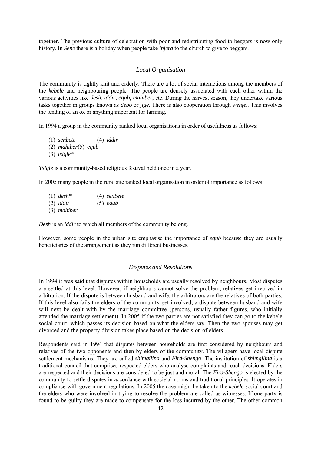<span id="page-41-0"></span>together. The previous culture of celebration with poor and redistributing food to beggars is now only history. In *Sene* there is a holiday when people take *injera* to the church to give to beggars.

#### *Local Organisation*

The community is tightly knit and orderly. There are a lot of social interactions among the members of the *kebele* and neighbouring people. The people are densely associated with each other within the various activities like *desh, iddir*, *equb*, *mahiber*, etc. During the harvest season, they undertake various tasks together in groups known as *debo* or *jige*. There is also cooperation through *wenfel.* This involves the lending of an ox or anything important for farming.

In 1994 a group in the community ranked local organisations in order of usefulness as follows:

- (1) *senbete* (4) *iddir*
- (2) *mahiber* (5) *equb*
- (3) *tsigie\**

*Tsigie* is a community-based religious festival held once in a year.

In 2005 many people in the rural site ranked local organisation in order of importance as follows

 (1) *desh\** (4) *senbete* (2) *iddir* (5) *equb* (3) *mahiber* 

*Desh* is an *iddir* to which all members of the community belong.

However, some people in the urban site emphasise the importance of *equb* because they are usually beneficiaries of the arrangement as they run different businesses.

#### *Disputes and Resolutions*

In 1994 it was said that disputes within households are usually resolved by neighbours. Most disputes are settled at this level. However, if neighbours cannot solve the problem, relatives get involved in arbitration. If the dispute is between husband and wife, the arbitrators are the relatives of both parties. If this level also fails the elders of the community get involved; a dispute between husband and wife will next be dealt with by the marriage committee (persons, usually father figures, who initially attended the marriage settlement). In 2005 if the two parties are not satisfied they can go to the kebele social court, which passes its decision based on what the elders say. Then the two spouses may get divorced and the property division takes place based on the decision of elders.

Respondents said in 1994 that disputes between households are first considered by neighbours and relatives of the two opponents and then by elders of the community. The villagers have local dispute settlement mechanisms. They are called *shimgilina* and *Fird-Shengo*. The institution of *shimgilina* is a traditional council that comprises respected elders who analyse complaints and reach decisions. Elders are respected and their decisions are considered to be just and moral. The *Fird-Shengo* is elected by the community to settle disputes in accordance with societal norms and traditional principles. It operates in compliance with government regulations. In 2005 the case might be taken to the *kebele* social court and the elders who were involved in trying to resolve the problem are called as witnesses. If one party is found to be guilty they are made to compensate for the loss incurred by the other. The other common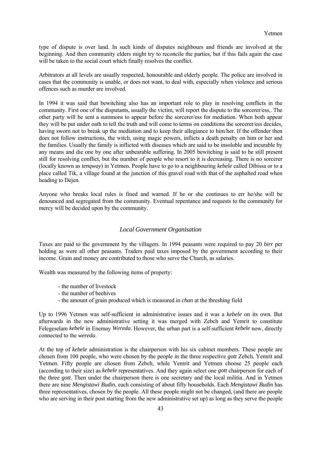<span id="page-42-0"></span>type of dispute is over land. In such kinds of disputes neighbours and friends are involved at the beginning. And then community elders might try to reconcile the parties, but if this fails again the case will be taken to the social court which finally resolves the conflict.

Arbitrators at all levels are usually respected, honourable and elderly people. The police are involved in cases that the community is unable, or does not want, to deal with, especially when violence and serious offences such as murder are involved.

In 1994 it was said that bewitching also has an important role to play in resolving conflicts in the community. First one of the disputants, usually the victim, will report the dispute to the sorcerer/ess,. The other party will be sent a summons to appear before the sorcerer/ess for mediation. When both appear they will be put under oath to tell the truth and will come to terms on conditions the sorcerer/ess decides, having sworn not to break up the mediation and to keep their allegiance to him/her. If the offender then does not follow instructions, the witch, using magic powers, inflicts a death penalty on him or her and the families. Usually the family is inflicted with diseases which are said to be insoluble and incurable by any means and die one by one after unbearable suffering. In 2005 bewitching is said to be still present still for resolving conflict, but the number of people who resort to it is decreasing. There is no sorcerer (locally known as *tenqway*) in Yetmen. People have to go to a neighbouring *kebele* called Dibissa or to a place called Tik, a village found at the junction of this gravel road with that of the asphalted road when heading to Dejen.

Anyone who breaks local rules is fined and warned. If he or she continues to err he/she will be denounced and segregated from the community. Eventual repentance and requests to the community for mercy will be decided upon by the community.

#### *Local Government Organisation*

Taxes are paid to the government by the villagers. In 1994 peasants were required to pay 20 *birr* per holding as were all other peasants. Traders paid taxes imposed by the government according to their income. Grain and money are contributed to those who serve the Church, as salaries.

Wealth was measured by the following items of property:

- the number of livestock
- the number of beehives
- the amount of grain produced which is measured in *chan* at the threshing field

Up to 1996 Yetmen was self-sufficient in administrative issues and it was a *kebele* on its own. But afterwards in the new administrative setting it was merged with Zebch and Yemrit to constitute Felegeselam *kebele* in Enemay *Wereda*. However, the urban part is a self-sufficient *kebele* now, directly connected to the *wereda*.

At the top of *kebele* administration is the chairperson with his six cabinet members. These people are chosen from 100 people, who were chosen by the people in the three respective *gott* Zebch, Yemrit and Yetmen. Fifty people are chosen from Zebch, while Yemrit and Yetmen choose 25 people each (according to their size) as *kebele* representatives. And they again select one *gott* chairperson for each of the three *gott*. Then under the chairperson there is one secretary and the local militia. And in Yetmen there are nine *Mengistawi Budin*, each consisting of about fifty households. Each *Mengistawi Budin* has three representatives, chosen by the people. All these people might not be changed, (and there are people who are serving in their post starting from the new administrative set up) as long as they serve the people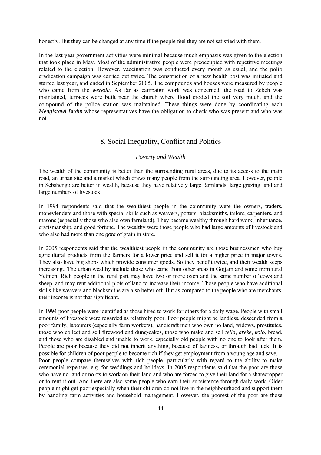<span id="page-43-0"></span>honestly. But they can be changed at any time if the people feel they are not satisfied with them.

In the last year government activities were minimal because much emphasis was given to the election that took place in May. Most of the administrative people were preoccupied with repetitive meetings related to the election. However, vaccination was conducted every month as usual, and the polio eradication campaign was carried out twice. The construction of a new health post was initiated and started last year, and ended in September 2005. The compounds and houses were measured by people who came from the *wereda*. As far as campaign work was concerned, the road to Zebch was maintained, terraces were built near the church where flood eroded the soil very much, and the compound of the police station was maintained. These things were done by coordinating each *Mengistawi Budin* whose representatives have the obligation to check who was present and who was not.

## 8. Social Inequality, Conflict and Politics

### *Poverty and Wealth*

The wealth of the community is better than the surrounding rural areas, due to its access to the main road, an urban site and a market which draws many people from the surrounding area. However, people in Sebshengo are better in wealth, because they have relatively large farmlands, large grazing land and large numbers of livestock.

In 1994 respondents said that the wealthiest people in the community were the owners, traders, moneylenders and those with special skills such as weavers, potters, blacksmiths, tailors, carpenters, and masons (especially those who also own farmland). They became wealthy through hard work, inheritance, craftsmanship, and good fortune. The wealthy were those people who had large amounts of livestock and who also had more than one *gota* of grain in store.

In 2005 respondents said that the wealthiest people in the community are those businessmen who buy agricultural products from the farmers for a lower price and sell it for a higher price in major towns. They also have big shops which provide consumer goods. So they benefit twice, and their wealth keeps increasing.. The urban wealthy include those who came from other areas in Gojjam and some from rural Yetmen. Rich people in the rural part may have two or more oxen and the same number of cows and sheep, and may rent additional plots of land to increase their income. Those people who have additional skills like weavers and blacksmiths are also better off. But as compared to the people who are merchants, their income is not that significant.

In 1994 poor people were identified as those hired to work for others for a daily wage. People with small amounts of livestock were regarded as relatively poor. Poor people might be landless, descended from a poor family, labourers (especially farm workers), handicraft men who own no land, widows, prostitutes, those who collect and sell firewood and dung-cakes, those who make and sell *tella*, *areke*, *kolo*, bread, and those who are disabled and unable to work, especially old people with no one to look after them. People are poor because they did not inherit anything, because of laziness, or through bad luck. It is possible for children of poor people to become rich if they get employment from a young age and save. Poor people compare themselves with rich people, particularly with regard to the ability to make ceremonial expenses. e.g. for weddings and holidays. In 2005 respondents said that the poor are those who have no land or no ox to work on their land and who are forced to give their land for a sharecropper or to rent it out. And there are also some people who earn their subsistence through daily work. Older people might get poor especially when their children do not live in the neighbourhood and support them by handling farm activities and household management. However, the poorest of the poor are those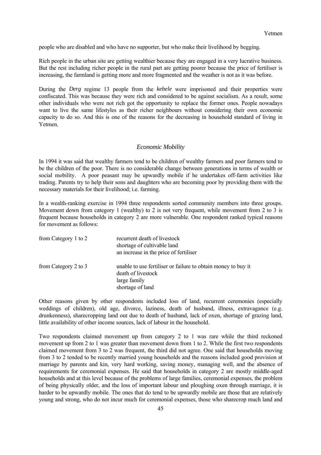<span id="page-44-0"></span>people who are disabled and who have no supporter, but who make their livelihood by begging.

Rich people in the urban site are getting wealthier because they are engaged in a very lucrative business. But the rest including richer people in the rural part are getting poorer because the price of fertiliser is increasing, the farmland is getting more and more fragmented and the weather is not as it was before.

During the *Derg* regime 13 people from the *kebele* were imprisoned and their properties were confiscated. This was because they were rich and considered to be against socialism. As a result, some other individuals who were not rich got the opportunity to replace the former ones. People nowadays want to live the same lifestyles as their richer neighbours without considering their own economic capacity to do so. And this is one of the reasons for the decreasing in household standard of living in Yetmen.

#### *Economic Mobility*

In 1994 it was said that wealthy farmers tend to be children of wealthy farmers and poor farmers tend to be the children of the poor. There is no considerable change between generations in terms of wealth or social mobility. A poor peasant may be upwardly mobile if he undertakes off-farm activities like trading. Parents try to help their sons and daughters who are becoming poor by providing them with the necessary materials for their livelihood; i.e. farming.

In a wealth-ranking exercise in 1994 three respondents sorted community members into three groups. Movement down from category 1 (wealthy) to 2 is not very frequent, while movement from 2 to 3 is frequent because households in category 2 are more vulnerable. One respondent ranked typical reasons for movement as follows:

| from Category 1 to 2 | recurrent death of livestock<br>shortage of cultivable land<br>an increase in the price of fertiliser                   |
|----------------------|-------------------------------------------------------------------------------------------------------------------------|
| from Category 2 to 3 | unable to use fertiliser or failure to obtain money to buy it<br>death of livestock<br>large family<br>shortage of land |

Other reasons given by other respondents included loss of land, recurrent ceremonies (especially weddings of children), old age, divorce, laziness, death of husband, illness, extravagance (e.g. drunkenness), sharecropping land out due to death of husband, lack of oxen, shortage of grazing land, little availability of other income sources, lack of labour in the household.

Two respondents claimed movement up from category 2 to 1 was rare while the third reckoned movement up from 2 to 1 was greater than movement down from 1 to 2. While the first two respondents claimed movement from 3 to 2 was frequent, the third did not agree. One said that households moving from 3 to 2 tended to be recently married young households and the reasons included good provision at marriage by parents and kin, very hard working, saving money, managing well, and the absence of requirements for ceremonial expenses. He said that households in category 2 are mostly middle-aged households and at this level because of the problems of large families, ceremonial expenses, the problem of being physically older, and the loss of important labour and ploughing oxen through marriage, it is harder to be upwardly mobile. The ones that do tend to be upwardly mobile are those that are relatively young and strong, who do not incur much for ceremonial expenses, those who sharecrop much land and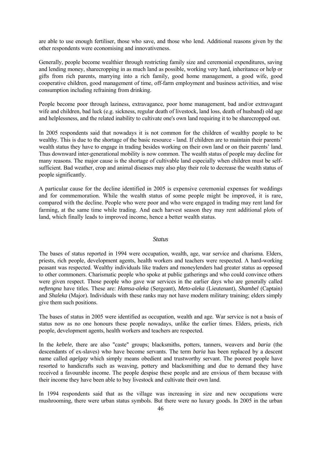<span id="page-45-0"></span>are able to use enough fertiliser, those who save, and those who lend. Additional reasons given by the other respondents were economising and innovativeness.

Generally, people become wealthier through restricting family size and ceremonial expenditures, saving and lending money, sharecropping in as much land as possible, working very hard, inheritance or help or gifts from rich parents, marrying into a rich family, good home management, a good wife, good cooperative children, good management of time, off-farm employment and business activities, and wise consumption including refraining from drinking.

People become poor through laziness, extravagance, poor home management, bad and/or extravagant wife and children, bad luck (e.g. sickness, regular death of livestock, land loss, death of husband) old age and helplessness, and the related inability to cultivate one's own land requiring it to be sharecropped out.

In 2005 respondents said that nowadays it is not common for the children of wealthy people to be wealthy. This is due to the shortage of the basic resource - land. If children are to maintain their parents' wealth status they have to engage in trading besides working on their own land or on their parents' land. Thus downward inter-generational mobility is now common. The wealth status of people may decline for many reasons. The major cause is the shortage of cultivable land especially when children must be selfsufficient. Bad weather, crop and animal diseases may also play their role to decrease the wealth status of people significantly.

A particular cause for the decline identified in 2005 is expensive ceremonial expenses for weddings and for commemoration. While the wealth status of some people might be improved, it is rare, compared with the decline. People who were poor and who were engaged in trading may rent land for farming, at the same time while trading. And each harvest season they may rent additional plots of land, which finally leads to improved income, hence a better wealth status.

#### *Status*

The bases of status reported in 1994 were occupation, wealth, age, war service and charisma. Elders, priests, rich people, development agents, health workers and teachers were respected. A hard-working peasant was respected. Wealthy individuals like traders and moneylenders had greater status as opposed to other commoners. Charismatic people who spoke at public gatherings and who could convince others were given respect. Those people who gave war services in the earlier days who are generally called *neftengna* have titles. These are: *Hamsa-aleka* (Sergeant), *Meto-aleka* (Lieutenant), *Shambel* (Captain) and *Shaleka* (Major). Individuals with these ranks may not have modern military training; elders simply give them such positions.

The bases of status in 2005 were identified as occupation, wealth and age. War service is not a basis of status now as no one honours these people nowadays, unlike the earlier times. Elders, priests, rich people, development agents, health workers and teachers are respected.

In the *kebele*, there are also "caste" groups; blacksmiths, potters, tanners, weavers and *baria* (the descendants of ex-slaves) who have become servants. The term *baria* has been replaced by a descent name called *agelgay* which simply means obedient and trustworthy servant. The poorest people have resorted to handicrafts such as weaving, pottery and blacksmithing and due to demand they have received a favourable income. The people despise these people and are envious of them because with their income they have been able to buy livestock and cultivate their own land.

In 1994 respondents said that as the village was increasing in size and new occupations were mushrooming, there were urban status symbols. But there were no luxury goods. In 2005 in the urban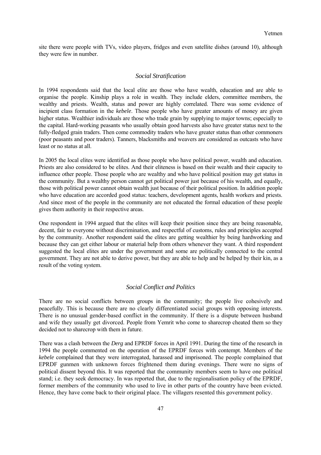<span id="page-46-0"></span>site there were people with TVs, video players, fridges and even satellite dishes (around 10), although they were few in number.

#### *Social Stratification*

In 1994 respondents said that the local elite are those who have wealth, education and are able to organise the people. Kinship plays a role in wealth. They include elders, committee members, the wealthy and priests. Wealth, status and power are highly correlated. There was some evidence of incipient class formation in the *kebele*. Those people who have greater amounts of money are given higher status. Wealthier individuals are those who trade grain by supplying to major towns; especially to the capital. Hard-working peasants who usually obtain good harvests also have greater status next to the fully-fledged grain traders. Then come commodity traders who have greater status than other commoners (poor peasants and poor traders). Tanners, blacksmiths and weavers are considered as outcasts who have least or no status at all.

In 2005 the local elites were identified as those people who have political power, wealth and education. Priests are also considered to be elites. And their eliteness is based on their wealth and their capacity to influence other people. Those people who are wealthy and who have political position may get status in the community. But a wealthy person cannot get political power just because of his wealth, and equally, those with political power cannot obtain wealth just because of their political position. In addition people who have education are accorded good status: teachers, development agents, health workers and priests. And since most of the people in the community are not educated the formal education of these people gives them authority in their respective areas.

One respondent in 1994 argued that the elites will keep their position since they are being reasonable, decent, fair to everyone without discrimination, and respectful of customs, rules and principles accepted by the community. Another respondent said the elites are getting wealthier by being hardworking and because they can get either labour or material help from others whenever they want. A third respondent suggested the local elites are under the government and some are politically connected to the central government. They are not able to derive power, but they are able to help and be helped by their kin, as a result of the voting system.

#### *Social Conflict and Politics*

There are no social conflicts between groups in the community; the people live cohesively and peacefully. This is because there are no clearly differentiated social groups with opposing interests. There is no unusual gender-based conflict in the community. If there is a dispute between husband and wife they usually get divorced. People from Yemrit who come to sharecrop cheated them so they decided not to sharecrop with them in future.

There was a clash between the *Derg* and EPRDF forces in April 1991. During the time of the research in 1994 the people commented on the operation of the EPRDF forces with contempt. Members of the *kebele* complained that they were interrogated, harassed and imprisoned. The people complained that EPRDF gunmen with unknown forces frightened them during evenings. There were no signs of political dissent beyond this. It was reported that the community members seem to have one political stand; i.e. they seek democracy. In was reported that, due to the regionalisation policy of the EPRDF, former members of the community who used to live in other parts of the country have been evicted. Hence, they have come back to their original place. The villagers resented this government policy.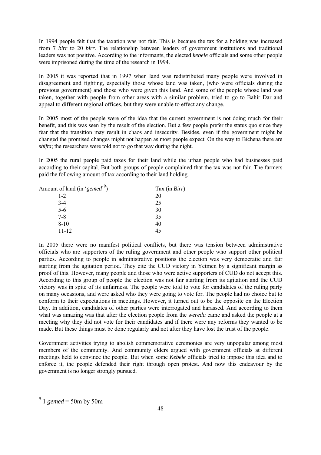In 1994 people felt that the taxation was not fair. This is because the tax for a holding was increased from 7 *birr* to 20 *birr*. The relationship between leaders of government institutions and traditional leaders was not positive. According to the informants, the elected *kebele* officials and some other people were imprisoned during the time of the research in 1994.

In 2005 it was reported that in 1997 when land was redistributed many people were involved in disagreement and fighting, especially those whose land was taken, (who were officials during the previous government) and those who were given this land. And some of the people whose land was taken, together with people from other areas with a similar problem, tried to go to Bahir Dar and appeal to different regional offices, but they were unable to effect any change.

In 2005 most of the people were of the idea that the current government is not doing much for their benefit, and this was seen by the result of the election. But a few people prefer the status quo since they fear that the transition may result in chaos and insecurity. Besides, even if the government might be changed the promised changes might not happen as most people expect. On the way to Bichena there are *shifta*; the researchers were told not to go that way during the night.

In 2005 the rural people paid taxes for their land while the urban people who had businesses paid according to their capital. But both groups of people complained that the tax was not fair. The farmers paid the following amount of tax according to their land holding.

| Amount of land (in 'gemed' <sup>9</sup> ) | Tax (in <i>Birr</i> ) |
|-------------------------------------------|-----------------------|
| $1 - 2$                                   | 20                    |
| $3 - 4$                                   | 25                    |
| $5-6$                                     | 30                    |
| $7 - 8$                                   | 35                    |
| $8-10$                                    | 40                    |
| $11 - 12$                                 | 45                    |

In 2005 there were no manifest political conflicts, but there was tension between administrative officials who are supporters of the ruling government and other people who support other political parties. According to people in administrative positions the election was very democratic and fair starting from the agitation period. They cite the CUD victory in Yetmen by a significant margin as proof of this. However, many people and those who were active supporters of CUD do not accept this. According to this group of people the election was not fair starting from its agitation and the CUD victory was in spite of its unfairness. The people were told to vote for candidates of the ruling party on many occasions, and were asked who they were going to vote for. The people had no choice but to conform to their expectations in meetings. However, it turned out to be the opposite on the Election Day. In addition, candidates of other parties were interrogated and harassed. And according to them what was amazing was that after the election people from the *wereda* came and asked the people at a meeting why they did not vote for their candidates and if there were any reforms they wanted to be made. But these things must be done regularly and not after they have lost the trust of the people.

Government activities trying to abolish commemorative ceremonies are very unpopular among most members of the community. And community elders argued with government officials at different meetings held to convince the people. But when some *Kebele* officials tried to impose this idea and to enforce it, the people defended their right through open protest. And now this endeavour by the government is no longer strongly pursued.

<span id="page-47-0"></span> $9^{9}$  1 *gemed* = 50m by 50m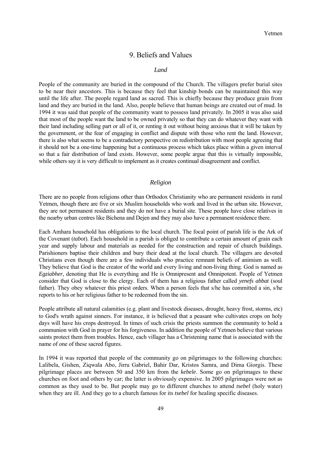### 9. Beliefs and Values

#### <span id="page-48-0"></span> *Land*

People of the community are buried in the compound of the Church. The villagers prefer burial sites to be near their ancestors. This is because they feel that kinship bonds can be maintained this way until the life after. The people regard land as sacred. This is chiefly because they produce grain from land and they are buried in the land. Also, people believe that human beings are created out of mud. In 1994 it was said that people of the community want to possess land privately. In 2005 it was also said that most of the people want the land to be owned privately so that they can do whatever they want with their land including selling part or all of it, or renting it out without being anxious that it will be taken by the government, or the fear of engaging in conflict and dispute with those who rent the land. However, there is also what seems to be a contradictory perspective on redistribution with most people agreeing that it should not be a one-time happening but a continuous process which takes place within a given interval so that a fair distribution of land exists. However, some people argue that this is virtually impossible, while others say it is very difficult to implement as it creates continual disagreement and conflict.

#### *Religion*

There are no people from religions other than Orthodox Christianity who are permanent residents in rural Yetmen, though there are five or six Muslim households who work and lived in the urban site. However, they are not permanent residents and they do not have a burial site. These people have close relatives in the nearby urban centres like Bichena and Dejen and they may also have a permanent residence there.

Each Amhara household has obligations to the local church. The focal point of parish life is the Ark of the Covenant (*tabot*). Each household in a parish is obliged to contribute a certain amount of grain each year and supply labour and materials as needed for the construction and repair of church buildings. Parishioners baptise their children and bury their dead at the local church. The villagers are devoted Christians even though there are a few individuals who practice remnant beliefs of animism as well. They believe that God is the creator of the world and every living and non-living thing. God is named as *Egziabher,* denoting that He is everything and He is Omnipresent and Omnipotent. People of Yetmen consider that God is close to the clergy. Each of them has a religious father called *yenefs abbat* (soul father). They obey whatever this priest orders. When a person feels that s/he has committed a sin, s/he reports to his or her religious father to be redeemed from the sin.

People attribute all natural calamities (e.g. plant and livestock diseases, drought, heavy frost, storms, etc) to God's wrath against sinners. For instance, it is believed that a peasant who cultivates crops on holy days will have his crops destroyed. In times of such crisis the priests summon the community to hold a communion with God in prayer for his forgiveness. In addition the people of Yetmen believe that various saints protect them from troubles. Hence, each villager has a Christening name that is associated with the name of one of these sacred figures.

In 1994 it was reported that people of the community go on pilgrimages to the following churches: Lalibela, Gishen, Ziqwala Abo, Jirru Gabriel, Bahir Dar, Kristos Samra, and Dima Giorgis. These pilgrimage places are between 50 and 350 km from the *kebele*. Some go on pilgrimages to these churches on foot and others by car; the latter is obviously expensive. In 2005 pilgrimages were not as common as they used to be. But people may go to different churches to attend *tsebel* (holy water) when they are ill. And they go to a church famous for its *tsebel* for healing specific diseases.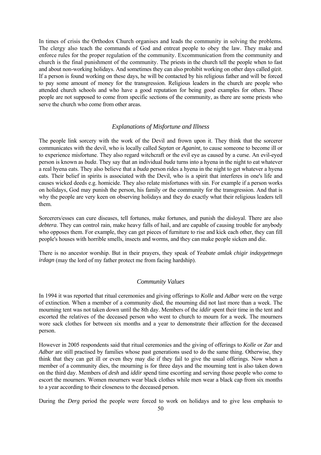<span id="page-49-0"></span>In times of crisis the Orthodox Church organises and leads the community in solving the problems. The clergy also teach the commands of God and entreat people to obey the law. They make and enforce rules for the proper regulation of the community. Excommunication from the community and church is the final punishment of the community. The priests in the church tell the people when to fast and about non-working holidays. And sometimes they can also prohibit working on other days called *gizit*. If a person is found working on these days, he will be contacted by his religious father and will be forced to pay some amount of money for the transgression. Religious leaders in the church are people who attended church schools and who have a good reputation for being good examples for others. These people are not supposed to come from specific sections of the community, as there are some priests who serve the church who come from other areas.

#### *Explanations of Misfortune and Illness*

The people link sorcery with the work of the Devil and frown upon it. They think that the sorcerer communicates with the devil, who is locally called *Saytan* or *Aganint,* to cause someone to become ill or to experience misfortune. They also regard witchcraft or the evil eye as caused by a curse. An evil-eyed person is known as *buda*. They say that an individual *buda* turns into a hyena in the night to eat whatever a real hyena eats. They also believe that a *buda* person rides a hyena in the night to get whatever a hyena eats. Their belief in spirits is associated with the Devil, who is a spirit that interferes in one's life and causes wicked deeds e.g. homicide. They also relate misfortunes with sin. For example if a person works on holidays, God may punish the person, his family or the community for the transgression. And that is why the people are very keen on observing holidays and they do exactly what their religious leaders tell them.

Sorcerers/esses can cure diseases, tell fortunes, make fortunes, and punish the disloyal. There are also *debtera*. They can control rain, make heavy falls of hail, and are capable of causing trouble for anybody who opposes them. For example, they can get pieces of furniture to rise and kick each other, they can fill people's houses with horrible smells, insects and worms, and they can make people sicken and die.

There is no ancestor worship. But in their prayers, they speak of *Yeabate amlak chigir indaygetmegn irdagn* (may the lord of my father protect me from facing hardship).

#### *Community Values*

In 1994 it was reported that ritual ceremonies and giving offerings to *Kolle* and *Adbar* were on the verge of extinction. When a member of a community died, the mourning did not last more than a week. The mourning tent was not taken down until the 8th day. Members of the *iddir* spent their time in the tent and escorted the relatives of the deceased person who went to church to mourn for a week. The mourners wore sack clothes for between six months and a year to demonstrate their affection for the deceased person.

However in 2005 respondents said that ritual ceremonies and the giving of offerings to *Kolle* or *Zar* and *Adbar* are still practised by families whose past generations used to do the same thing. Otherwise, they think that they can get ill or even they may die if they fail to give the usual offerings. Now when a member of a community dies, the mourning is for three days and the mourning tent is also taken down on the third day. Members of *desh* and *iddir* spend time escorting and serving those people who come to escort the mourners. Women mourners wear black clothes while men wear a black cap from six months to a year according to their closeness to the deceased person.

During the *Derg* period the people were forced to work on holidays and to give less emphasis to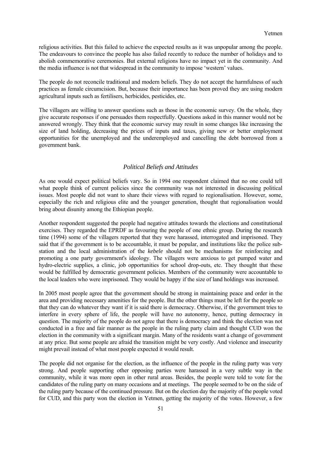<span id="page-50-0"></span>religious activities. But this failed to achieve the expected results as it was unpopular among the people. The endeavours to convince the people has also failed recently to reduce the number of holidays and to abolish commemorative ceremonies. But external religions have no impact yet in the community. And the media influence is not that widespread in the community to impose 'western' values.

The people do not reconcile traditional and modern beliefs. They do not accept the harmfulness of such practices as female circumcision. But, because their importance has been proved they are using modern agricultural inputs such as fertilisers, herbicides, pesticides, etc.

The villagers are willing to answer questions such as those in the economic survey. On the whole, they give accurate responses if one persuades them respectfully. Questions asked in this manner would not be answered wrongly. They think that the economic survey may result in some changes like increasing the size of land holding, decreasing the prices of inputs and taxes, giving new or better employment opportunities for the unemployed and the underemployed and cancelling the debt borrowed from a government bank.

#### *Political Beliefs and Attitudes*

As one would expect political beliefs vary. So in 1994 one respondent claimed that no one could tell what people think of current policies since the community was not interested in discussing political issues. Most people did not want to share their views with regard to regionalisation. However, some, especially the rich and religious elite and the younger generation, thought that regionalisation would bring about disunity among the Ethiopian people.

Another respondent suggested the people had negative attitudes towards the elections and constitutional exercises. They regarded the EPRDF as favouring the people of one ethnic group. During the research time (1994) some of the villagers reported that they were harassed, interrogated and imprisoned. They said that if the government is to be accountable, it must be popular, and institutions like the police substation and the local administration of the *kebele* should not be mechanisms for reinforcing and promoting a one party government's ideology. The villagers were anxious to get pumped water and hydro-electric supplies, a clinic, job opportunities for school drop-outs, etc. They thought that these would be fulfilled by democratic government policies. Members of the community were accountable to the local leaders who were imprisoned. They would be happy if the size of land holdings was increased.

In 2005 most people agree that the government should be strong in maintaining peace and order in the area and providing necessary amenities for the people. But the other things must be left for the people so that they can do whatever they want if it is said there is democracy. Otherwise, if the government tries to interfere in every sphere of life, the people will have no autonomy, hence, putting democracy in question. The majority of the people do not agree that there is democracy and think the election was not conducted in a free and fair manner as the people in the ruling party claim and thought CUD won the election in the community with a significant margin. Many of the residents want a change of government at any price. But some people are afraid the transition might be very costly. And violence and insecurity might prevail instead of what most people expected it would result.

The people did not organise for the election, as the influence of the people in the ruling party was very strong. And people supporting other opposing parties were harassed in a very subtle way in the community, while it was more open in other rural areas. Besides, the people were told to vote for the candidates of the ruling party on many occasions and at meetings. The people seemed to be on the side of the ruling party because of the continued pressure. But on the election day the majority of the people voted for CUD, and this party won the election in Yetmen, getting the majority of the votes. However, a few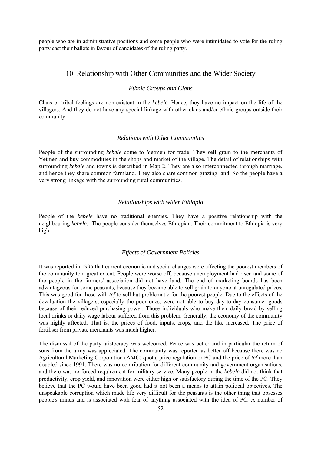<span id="page-51-0"></span>people who are in administrative positions and some people who were intimidated to vote for the ruling party cast their ballots in favour of candidates of the ruling party.

#### 10. Relationship with Other Communities and the Wider Society

#### *Ethnic Groups and Clans*

Clans or tribal feelings are non-existent in the *kebele*. Hence, they have no impact on the life of the villagers. And they do not have any special linkage with other clans and/or ethnic groups outside their community.

#### *Relations with Other Communities*

People of the surrounding *kebele* come to Yetmen for trade. They sell grain to the merchants of Yetmen and buy commodities in the shops and market of the village. The detail of relationships with surrounding *kebele* and towns is described in Map 2. They are also interconnected through marriage, and hence they share common farmland. They also share common grazing land. So the people have a very strong linkage with the surrounding rural communities.

#### *Relationships with wider Ethiopia*

People of the *kebele* have no traditional enemies. They have a positive relationship with the neighbouring *kebele*. The people consider themselves Ethiopian. Their commitment to Ethiopia is very high.

#### *Effects of Government Policies*

It was reported in 1995 that current economic and social changes were affecting the poorest members of the community to a great extent. People were worse off, because unemployment had risen and some of the people in the farmers' association did not have land. The end of marketing boards has been advantageous for some peasants, because they became able to sell grain to anyone at unregulated prices. This was good for those with *tef* to sell but problematic for the poorest people. Due to the effects of the devaluation the villagers, especially the poor ones, were not able to buy day-to-day consumer goods because of their reduced purchasing power. Those individuals who make their daily bread by selling local drinks or daily wage labour suffered from this problem. Generally, the economy of the community was highly affected. That is, the prices of food, inputs, crops, and the like increased. The price of fertiliser from private merchants was much higher.

The dismissal of the party aristocracy was welcomed. Peace was better and in particular the return of sons from the army was appreciated. The community was reported as better off because there was no Agricultural Marketing Corporation (AMC) quota, price regulation or PC and the price of *tef* more than doubled since 1991. There was no contribution for different community and government organisations, and there was no forced requirement for military service. Many people in the *kebele* did not think that productivity, crop yield, and innovation were either high or satisfactory during the time of the PC. They believe that the PC would have been good had it not been a means to attain political objectives. The unspeakable corruption which made life very difficult for the peasants is the other thing that obsesses people's minds and is associated with fear of anything associated with the idea of PC. A number of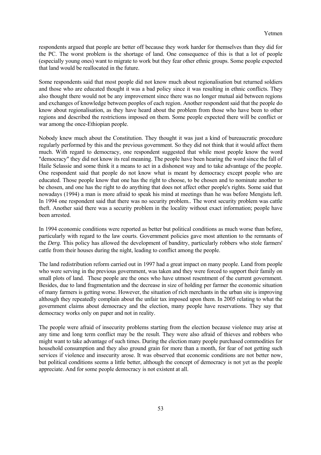respondents argued that people are better off because they work harder for themselves than they did for the PC. The worst problem is the shortage of land. One consequence of this is that a lot of people (especially young ones) want to migrate to work but they fear other ethnic groups. Some people expected that land would be reallocated in the future.

Some respondents said that most people did not know much about regionalisation but returned soldiers and those who are educated thought it was a bad policy since it was resulting in ethnic conflicts. They also thought there would not be any improvement since there was no longer mutual aid between regions and exchanges of knowledge between peoples of each region. Another respondent said that the people do know about regionalisation, as they have heard about the problem from those who have been to other regions and described the restrictions imposed on them. Some people expected there will be conflict or war among the once-Ethiopian people.

Nobody knew much about the Constitution. They thought it was just a kind of bureaucratic procedure regularly performed by this and the previous government. So they did not think that it would affect them much. With regard to democracy, one respondent suggested that while most people know the word "democracy" they did not know its real meaning. The people have been hearing the word since the fall of Haile Selassie and some think it a means to act in a dishonest way and to take advantage of the people. One respondent said that people do not know what is meant by democracy except people who are educated. Those people know that one has the right to choose, to be chosen and to nominate another to be chosen, and one has the right to do anything that does not affect other people's rights. Some said that nowadays (1994) a man is more afraid to speak his mind at meetings than he was before Mengistu left. In 1994 one respondent said that there was no security problem.. The worst security problem was cattle theft. Another said there was a security problem in the locality without exact information; people have been arrested.

In 1994 economic conditions were reported as better but political conditions as much worse than before, particularly with regard to the law courts. Government policies gave most attention to the remnants of the *Derg*. This policy has allowed the development of banditry, particularly robbers who stole farmers' cattle from their houses during the night, leading to conflict among the people.

The land redistribution reform carried out in 1997 had a great impact on many people. Land from people who were serving in the previous government, was taken and they were forced to support their family on small plots of land. These people are the ones who have utmost resentment of the current government. Besides, due to land fragmentation and the decrease in size of holding per farmer the economic situation of many farmers is getting worse. However, the situation of rich merchants in the urban site is improving although they repeatedly complain about the unfair tax imposed upon them. In 2005 relating to what the government claims about democracy and the election, many people have reservations. They say that democracy works only on paper and not in reality.

The people were afraid of insecurity problems starting from the election because violence may arise at any time and long term conflict may be the result. They were also afraid of thieves and robbers who might want to take advantage of such times. During the election many people purchased commodities for household consumption and they also ground grain for more than a month, for fear of not getting such services if violence and insecurity arose. It was observed that economic conditions are not better now, but political conditions seems a little better, although the concept of democracy is not yet as the people appreciate. And for some people democracy is not existent at all.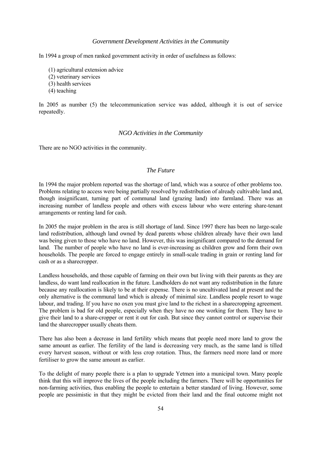#### *Government Development Activities in the Community*

<span id="page-53-0"></span>In 1994 a group of men ranked government activity in order of usefulness as follows:

- (1) agricultural extension advice
- (2) veterinary services
- (3) health services
- (4) teaching

In 2005 as number (5) the telecommunication service was added, although it is out of service repeatedly.

#### *NGO Activities in the Community*

There are no NGO activities in the community.

#### *The Future*

In 1994 the major problem reported was the shortage of land, which was a source of other problems too. Problems relating to access were being partially resolved by redistribution of already cultivable land and, though insignificant, turning part of communal land (grazing land) into farmland. There was an increasing number of landless people and others with excess labour who were entering share-tenant arrangements or renting land for cash.

In 2005 the major problem in the area is still shortage of land. Since 1997 there has been no large-scale land redistribution, although land owned by dead parents whose children already have their own land was being given to those who have no land. However, this was insignificant compared to the demand for land. The number of people who have no land is ever-increasing as children grow and form their own households. The people are forced to engage entirely in small-scale trading in grain or renting land for cash or as a sharecropper.

Landless households, and those capable of farming on their own but living with their parents as they are landless, do want land reallocation in the future. Landholders do not want any redistribution in the future because any reallocation is likely to be at their expense. There is no uncultivated land at present and the only alternative is the communal land which is already of minimal size. Landless people resort to wage labour, and trading. If you have no oxen you must give land to the richest in a sharecropping agreement. The problem is bad for old people, especially when they have no one working for them. They have to give their land to a share-cropper or rent it out for cash. But since they cannot control or supervise their land the sharecropper usually cheats them.

There has also been a decrease in land fertility which means that people need more land to grow the same amount as earlier. The fertility of the land is decreasing very much, as the same land is tilled every harvest season, without or with less crop rotation. Thus, the farmers need more land or more fertiliser to grow the same amount as earlier.

To the delight of many people there is a plan to upgrade Yetmen into a municipal town. Many people think that this will improve the lives of the people including the farmers. There will be opportunities for non-farming activities, thus enabling the people to entertain a better standard of living. However, some people are pessimistic in that they might be evicted from their land and the final outcome might not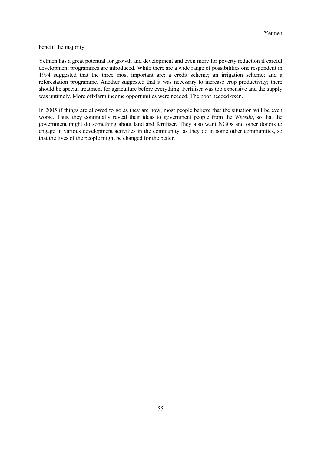benefit the majority.

Yetmen has a great potential for growth and development and even more for poverty reduction if careful development programmes are introduced. While there are a wide range of possibilities one respondent in 1994 suggested that the three most important are: a credit scheme; an irrigation scheme; and a reforestation programme. Another suggested that it was necessary to increase crop productivity; there should be special treatment for agriculture before everything. Fertiliser was too expensive and the supply was untimely. More off-farm income opportunities were needed. The poor needed oxen.

In 2005 if things are allowed to go as they are now, most people believe that the situation will be even worse. Thus, they continually reveal their ideas to government people from the *Wereda*, so that the government might do something about land and fertiliser. They also want NGOs and other donors to engage in various development activities in the community, as they do in some other communities, so that the lives of the people might be changed for the better.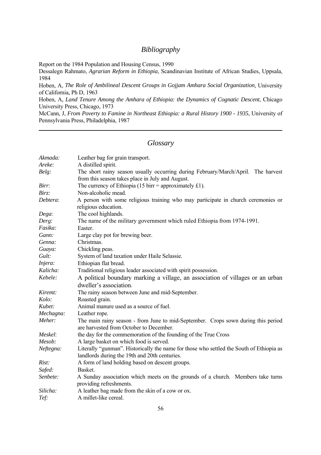# *Bibliography*

<span id="page-55-0"></span>Report on the 1984 Population and Housing Census, 1990

Dessalegn Rahmato, *Agrarian Reform in Ethiopia*, Scandinavian Institute of African Studies, Uppsala, 1984

Hoben, A, *The Role of Ambilineal Descent Groups in Gojjam Amhara Social Organization*, University of California, Ph D, 1963

Hoben, A, *Land Tenure Among the Amhara of Ethiopia: the Dynamics of Cognatic Descent*, Chicago University Press, Chicago, 1973

McCann, J, *From Poverty to Famine in Northeast Ethiopia: a Rural History 1900 - 1935*, University of Pennsylvania Press, Philadelphia, 1987

# *Glossary*

| Akmada:   | Leather bag for grain transport.                                                                                             |
|-----------|------------------------------------------------------------------------------------------------------------------------------|
| Areke:    | A distilled spirit.                                                                                                          |
| Belg:     | The short rainy season usually occurring during February/March/April. The harvest                                            |
|           | from this season takes place in July and August.                                                                             |
| Birr:     | The currency of Ethiopia (15 birr = approximately £1).                                                                       |
| Birz:     | Non-alcoholic mead.                                                                                                          |
| Debtera:  | A person with some religious training who may participate in church ceremonies or                                            |
|           | religious education.                                                                                                         |
| Dega:     | The cool highlands.                                                                                                          |
| Derg:     | The name of the military government which ruled Ethiopia from 1974-1991.                                                     |
| Fasika:   | Easter                                                                                                                       |
| Gann:     | Large clay pot for brewing beer.                                                                                             |
| Genna:    | Christmas.                                                                                                                   |
| Guaya:    | Chickling peas.                                                                                                              |
| Gult:     | System of land taxation under Haile Selassie.                                                                                |
| Injera:   | Ethiopian flat bread.                                                                                                        |
| Kalicha:  | Traditional religious leader associated with spirit possession.                                                              |
| Kebele:   | A political boundary marking a village, an association of villages or an urban                                               |
|           | dweller's association.                                                                                                       |
| Kiremt:   | The rainy season between June and mid-September.                                                                             |
| Kolo:     | Roasted grain.                                                                                                               |
| Kubet:    | Animal manure used as a source of fuel.                                                                                      |
| Mechagna: | Leather rope.                                                                                                                |
| Meher:    | The main rainy season - from June to mid-September. Crops sown during this period<br>are harvested from October to December. |
| Meskel:   | the day for the commemoration of the founding of the True Cross                                                              |
| Mesob:    | A large basket on which food is served.                                                                                      |
| Neftegna: | Literally "gunman". Historically the name for those who settled the South of Ethiopia as                                     |
|           | landlords during the 19th and 20th centuries.                                                                                |
| Rist:     | A form of land holding based on descent groups.                                                                              |
| Safed:    | Basket.                                                                                                                      |
| Senbete:  | A Sunday association which meets on the grounds of a church. Members take turns                                              |
|           | providing refreshments.                                                                                                      |
| Silicha:  | A leather bag made from the skin of a cow or ox.                                                                             |
| Tef:      | A millet-like cereal.                                                                                                        |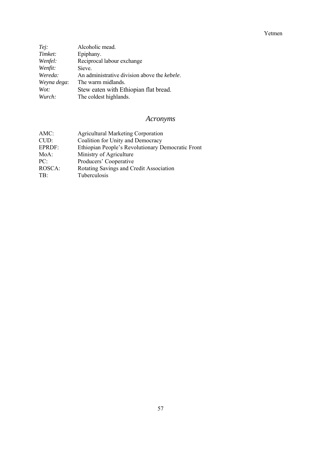<span id="page-56-0"></span>

| Tej:        | Alcoholic mead.                              |
|-------------|----------------------------------------------|
| Timket:     | Epiphany.                                    |
| Wenfel:     | Reciprocal labour exchange                   |
| Wenfit:     | Sieve.                                       |
| Wereda:     | An administrative division above the kebele. |
| Weyna dega: | The warm midlands.                           |
| Wot:        | Stew eaten with Ethiopian flat bread.        |
| Wurch:      | The coldest highlands.                       |

# *Acronyms*

| $AMC$ : | <b>Agricultural Marketing Corporation</b>         |
|---------|---------------------------------------------------|
| CUD:    | Coalition for Unity and Democracy                 |
| EPRDF:  | Ethiopian People's Revolutionary Democratic Front |
| MoA:    | Ministry of Agriculture                           |
| PC:     | Producers' Cooperative                            |
| ROSCA:  | Rotating Savings and Credit Association           |
| TB:     | Tuberculosis                                      |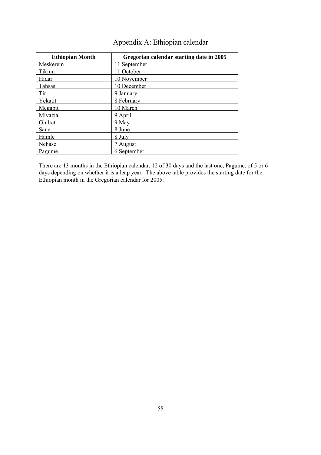<span id="page-57-0"></span>

| <b>Ethiopian Month</b> | Gregorian calendar starting date in 2005 |
|------------------------|------------------------------------------|
| Meskerem               | 11 September                             |
| Tikimt                 | 11 October                               |
| Hidar                  | 10 November                              |
| Tahsas                 | 10 December                              |
| Tir                    | 9 January                                |
| Yekatit                | 8 February                               |
| Megabit                | 10 March                                 |
| Miyazia                | 9 April                                  |
| Ginbot                 | 9 May                                    |
| Sane                   | 8 June                                   |
| Hamle                  | 8 July                                   |
| Nehase                 | 7 August                                 |
| Pagume                 | 6 September                              |

There are 13 months in the Ethiopian calendar, 12 of 30 days and the last one, Pagume, of 5 or 6 days depending on whether it is a leap year. The above table provides the starting date for the Ethiopian month in the Gregorian calendar for 2005.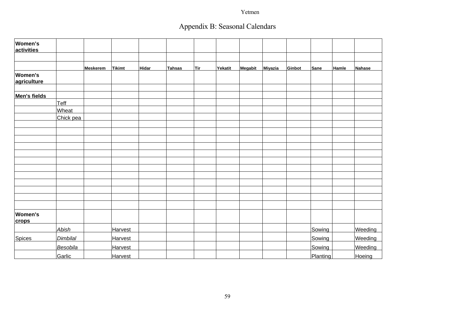# Appendix B: Seasonal Calendars

<span id="page-58-0"></span>

| Women's<br>activities          |              |                 |               |              |        |            |         |         |         |        |          |       |         |
|--------------------------------|--------------|-----------------|---------------|--------------|--------|------------|---------|---------|---------|--------|----------|-------|---------|
|                                |              |                 |               |              |        |            |         |         |         |        |          |       |         |
|                                |              | <b>Meskerem</b> | <b>Tikimt</b> | <b>Hidar</b> | Tahsas | <b>Tir</b> | Yekatit | Megabit | Miyazia | Ginbot | Sane     | Hamle | Nahase  |
| <b>Women's</b><br>agriculture  |              |                 |               |              |        |            |         |         |         |        |          |       |         |
| Men's fields                   |              |                 |               |              |        |            |         |         |         |        |          |       |         |
|                                | Teff         |                 |               |              |        |            |         |         |         |        |          |       |         |
|                                | <b>Wheat</b> |                 |               |              |        |            |         |         |         |        |          |       |         |
|                                | Chick pea    |                 |               |              |        |            |         |         |         |        |          |       |         |
|                                |              |                 |               |              |        |            |         |         |         |        |          |       |         |
|                                |              |                 |               |              |        |            |         |         |         |        |          |       |         |
|                                |              |                 |               |              |        |            |         |         |         |        |          |       |         |
|                                |              |                 |               |              |        |            |         |         |         |        |          |       |         |
|                                |              |                 |               |              |        |            |         |         |         |        |          |       |         |
|                                |              |                 |               |              |        |            |         |         |         |        |          |       |         |
|                                |              |                 |               |              |        |            |         |         |         |        |          |       |         |
|                                |              |                 |               |              |        |            |         |         |         |        |          |       |         |
|                                |              |                 |               |              |        |            |         |         |         |        |          |       |         |
|                                |              |                 |               |              |        |            |         |         |         |        |          |       |         |
|                                |              |                 |               |              |        |            |         |         |         |        |          |       |         |
|                                |              |                 |               |              |        |            |         |         |         |        |          |       |         |
| <b>Women's</b><br><b>crops</b> |              |                 |               |              |        |            |         |         |         |        |          |       |         |
|                                | <b>Abish</b> |                 | Harvest       |              |        |            |         |         |         |        | Sowing   |       | Weeding |
| <b>Spices</b>                  | Dimbilal     |                 | Harvest       |              |        |            |         |         |         |        | Sowing   |       | Weeding |
|                                | Besobila     |                 | Harvest       |              |        |            |         |         |         |        | Sowing   |       | Weeding |
|                                | Garlic       |                 | Harvest       |              |        |            |         |         |         |        | Planting |       | Hoeing  |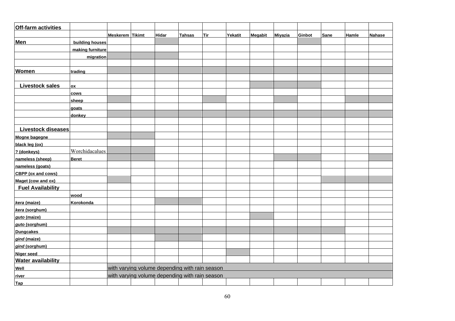| <b>Off-farm activities</b> |                  |                        |                                                |               |            |         |         |                |        |             |       |               |
|----------------------------|------------------|------------------------|------------------------------------------------|---------------|------------|---------|---------|----------------|--------|-------------|-------|---------------|
|                            |                  | <b>Meskerem Tikimt</b> | <b>Hidar</b>                                   | <b>Tahsas</b> | <b>Tir</b> | Yekatit | Megabit | <b>Miyazia</b> | Ginbot | <b>Sane</b> | Hamle | <b>Nahase</b> |
| <b>Men</b>                 | building houses  |                        |                                                |               |            |         |         |                |        |             |       |               |
|                            | making furniture |                        |                                                |               |            |         |         |                |        |             |       |               |
|                            | migration        |                        |                                                |               |            |         |         |                |        |             |       |               |
|                            |                  |                        |                                                |               |            |         |         |                |        |             |       |               |
| <b>Women</b>               | trading          |                        |                                                |               |            |         |         |                |        |             |       |               |
|                            |                  |                        |                                                |               |            |         |         |                |        |             |       |               |
| <b>Livestock sales</b>     | ox               |                        |                                                |               |            |         |         |                |        |             |       |               |
|                            | <b>COWS</b>      |                        |                                                |               |            |         |         |                |        |             |       |               |
|                            | sheep            |                        |                                                |               |            |         |         |                |        |             |       |               |
|                            | qoats            |                        |                                                |               |            |         |         |                |        |             |       |               |
|                            | donkey           |                        |                                                |               |            |         |         |                |        |             |       |               |
|                            |                  |                        |                                                |               |            |         |         |                |        |             |       |               |
| <b>Livestock diseases</b>  |                  |                        |                                                |               |            |         |         |                |        |             |       |               |
| Mogne bagegne              |                  |                        |                                                |               |            |         |         |                |        |             |       |               |
| black leg (ox)             |                  |                        |                                                |               |            |         |         |                |        |             |       |               |
| ? (donkeys)                | Worchidacalues   |                        |                                                |               |            |         |         |                |        |             |       |               |
| nameless (sheep)           | <b>Beret</b>     |                        |                                                |               |            |         |         |                |        |             |       |               |
| nameless (goats)           |                  |                        |                                                |               |            |         |         |                |        |             |       |               |
| <b>CBPP</b> (ox and cows)  |                  |                        |                                                |               |            |         |         |                |        |             |       |               |
| Maget (cow and ox)         |                  |                        |                                                |               |            |         |         |                |        |             |       |               |
| <b>Fuel Availability</b>   |                  |                        |                                                |               |            |         |         |                |        |             |       |               |
|                            | wood             |                        |                                                |               |            |         |         |                |        |             |       |               |
| kera (maize)               | Korokonda        |                        |                                                |               |            |         |         |                |        |             |       |               |
| kera (sorghum)             |                  |                        |                                                |               |            |         |         |                |        |             |       |               |
| guto (maize)               |                  |                        |                                                |               |            |         |         |                |        |             |       |               |
| guto (sorghum)             |                  |                        |                                                |               |            |         |         |                |        |             |       |               |
| <b>Dungcakes</b>           |                  |                        |                                                |               |            |         |         |                |        |             |       |               |
| gind (maize)               |                  |                        |                                                |               |            |         |         |                |        |             |       |               |
| gind (sorghum)             |                  |                        |                                                |               |            |         |         |                |        |             |       |               |
| <b>Niger seed</b>          |                  |                        |                                                |               |            |         |         |                |        |             |       |               |
| <b>Water availability</b>  |                  |                        |                                                |               |            |         |         |                |        |             |       |               |
| Well                       |                  |                        | with varying volume depending with rain season |               |            |         |         |                |        |             |       |               |
| river                      |                  |                        | with varying volume depending with rain season |               |            |         |         |                |        |             |       |               |
| <b>Tap</b>                 |                  |                        |                                                |               |            |         |         |                |        |             |       |               |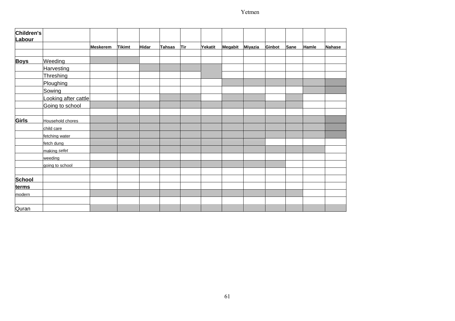| Children's<br>Labour |                      |                 |               |              |               |            |         |         |         |        |      |              |               |
|----------------------|----------------------|-----------------|---------------|--------------|---------------|------------|---------|---------|---------|--------|------|--------------|---------------|
|                      |                      | <b>Meskerem</b> | <b>Tikimt</b> | <b>Hidar</b> | <b>Tahsas</b> | <b>Tir</b> | Yekatit | Megabit | Miyazia | Ginbot | Sane | <b>Hamle</b> | <b>Nahase</b> |
| <b>Boys</b>          | Weeding              |                 |               |              |               |            |         |         |         |        |      |              |               |
|                      | Harvesting           |                 |               |              |               |            |         |         |         |        |      |              |               |
|                      | Threshing            |                 |               |              |               |            |         |         |         |        |      |              |               |
|                      | Ploughing            |                 |               |              |               |            |         |         |         |        |      |              |               |
|                      | Sowing               |                 |               |              |               |            |         |         |         |        |      |              |               |
|                      | Looking after cattle |                 |               |              |               |            |         |         |         |        |      |              |               |
|                      | Going to school      |                 |               |              |               |            |         |         |         |        |      |              |               |
| <b>Girls</b>         | Household chores     |                 |               |              |               |            |         |         |         |        |      |              |               |
|                      | child care           |                 |               |              |               |            |         |         |         |        |      |              |               |
|                      | fetching water       |                 |               |              |               |            |         |         |         |        |      |              |               |
|                      | fetch dung           |                 |               |              |               |            |         |         |         |        |      |              |               |
|                      | making sefet         |                 |               |              |               |            |         |         |         |        |      |              |               |
|                      | weeding              |                 |               |              |               |            |         |         |         |        |      |              |               |
|                      | going to school      |                 |               |              |               |            |         |         |         |        |      |              |               |
|                      |                      |                 |               |              |               |            |         |         |         |        |      |              |               |
| <b>School</b>        |                      |                 |               |              |               |            |         |         |         |        |      |              |               |
| terms                |                      |                 |               |              |               |            |         |         |         |        |      |              |               |
| modern               |                      |                 |               |              |               |            |         |         |         |        |      |              |               |
| Quran                |                      |                 |               |              |               |            |         |         |         |        |      |              |               |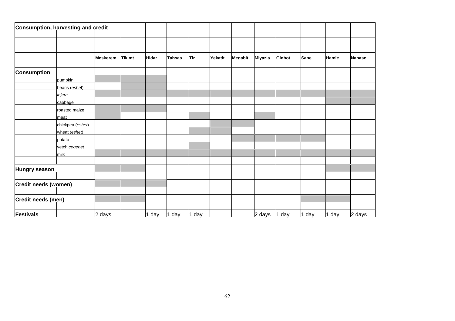|                             | <b>Consumption, harvesting and credit</b> |                 |               |              |               |       |         |         |                  |        |             |         |               |
|-----------------------------|-------------------------------------------|-----------------|---------------|--------------|---------------|-------|---------|---------|------------------|--------|-------------|---------|---------------|
|                             |                                           |                 |               |              |               |       |         |         |                  |        |             |         |               |
|                             |                                           |                 |               |              |               |       |         |         |                  |        |             |         |               |
|                             |                                           |                 |               |              |               |       |         |         |                  |        |             |         |               |
|                             |                                           | <b>Meskerem</b> | <b>Tikimt</b> | <b>Hidar</b> | <b>Tahsas</b> | Tir   | Yekatit | Megabit | Miyazia          | Ginbot | <b>Sane</b> | Hamle   | <b>Nahase</b> |
| <b>Consumption</b>          |                                           |                 |               |              |               |       |         |         |                  |        |             |         |               |
|                             | pumpkin                                   |                 |               |              |               |       |         |         |                  |        |             |         |               |
|                             | beans (eshet)                             |                 |               |              |               |       |         |         |                  |        |             |         |               |
|                             | injera                                    |                 |               |              |               |       |         |         |                  |        |             |         |               |
|                             | cabbage                                   |                 |               |              |               |       |         |         |                  |        |             |         |               |
|                             | roasted maize                             |                 |               |              |               |       |         |         |                  |        |             |         |               |
|                             | meat                                      |                 |               |              |               |       |         |         |                  |        |             |         |               |
|                             | chickpea (eshet)                          |                 |               |              |               |       |         |         |                  |        |             |         |               |
|                             | wheat (eshet)                             |                 |               |              |               |       |         |         |                  |        |             |         |               |
|                             | potato                                    |                 |               |              |               |       |         |         |                  |        |             |         |               |
|                             | vetch cegenet                             |                 |               |              |               |       |         |         |                  |        |             |         |               |
|                             | milk                                      |                 |               |              |               |       |         |         |                  |        |             |         |               |
|                             |                                           |                 |               |              |               |       |         |         |                  |        |             |         |               |
| <b>Hungry season</b>        |                                           |                 |               |              |               |       |         |         |                  |        |             |         |               |
|                             |                                           |                 |               |              |               |       |         |         |                  |        |             |         |               |
| <b>Credit needs (women)</b> |                                           |                 |               |              |               |       |         |         |                  |        |             |         |               |
|                             |                                           |                 |               |              |               |       |         |         |                  |        |             |         |               |
| Credit needs (men)          |                                           |                 |               |              |               |       |         |         |                  |        |             |         |               |
|                             |                                           |                 |               |              |               |       |         |         |                  |        |             |         |               |
| <b>Festivals</b>            |                                           | 2 days          |               | 1 day        | 1 day         | 1 day |         |         | $2 \text{ days}$ | 1 day  | 1 day       | $1$ day | 2 days        |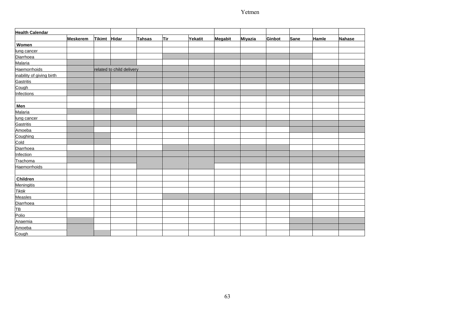| <b>Health Calendar</b>    |                 |               |                           |               |            |         |         |         |        |      |              |               |
|---------------------------|-----------------|---------------|---------------------------|---------------|------------|---------|---------|---------|--------|------|--------------|---------------|
|                           | <b>Meskerem</b> | <b>Tikimt</b> | Hidar                     | <b>Tahsas</b> | <b>Tir</b> | Yekatit | Megabit | Miyazia | Ginbot | Sane | <b>Hamle</b> | <b>Nahase</b> |
| Women                     |                 |               |                           |               |            |         |         |         |        |      |              |               |
| lung cancer               |                 |               |                           |               |            |         |         |         |        |      |              |               |
| Diarrhoea                 |                 |               |                           |               |            |         |         |         |        |      |              |               |
| Malaria                   |                 |               |                           |               |            |         |         |         |        |      |              |               |
| <b>Haemorrhoids</b>       |                 |               | related to child delivery |               |            |         |         |         |        |      |              |               |
| inability of giving birth |                 |               |                           |               |            |         |         |         |        |      |              |               |
| <b>Gastritis</b>          |                 |               |                           |               |            |         |         |         |        |      |              |               |
| Cough                     |                 |               |                           |               |            |         |         |         |        |      |              |               |
| <b>Infections</b>         |                 |               |                           |               |            |         |         |         |        |      |              |               |
|                           |                 |               |                           |               |            |         |         |         |        |      |              |               |
| <b>Men</b>                |                 |               |                           |               |            |         |         |         |        |      |              |               |
| Malaria                   |                 |               |                           |               |            |         |         |         |        |      |              |               |
| lung cancer               |                 |               |                           |               |            |         |         |         |        |      |              |               |
| Gastritis                 |                 |               |                           |               |            |         |         |         |        |      |              |               |
| Amoeba                    |                 |               |                           |               |            |         |         |         |        |      |              |               |
| Coughing                  |                 |               |                           |               |            |         |         |         |        |      |              |               |
| Cold                      |                 |               |                           |               |            |         |         |         |        |      |              |               |
| Diarrhoea                 |                 |               |                           |               |            |         |         |         |        |      |              |               |
| Infection                 |                 |               |                           |               |            |         |         |         |        |      |              |               |
| Trachoma                  |                 |               |                           |               |            |         |         |         |        |      |              |               |
| Haemorrhoids              |                 |               |                           |               |            |         |         |         |        |      |              |               |
|                           |                 |               |                           |               |            |         |         |         |        |      |              |               |
| Children                  |                 |               |                           |               |            |         |         |         |        |      |              |               |
| <b>Meningitis</b>         |                 |               |                           |               |            |         |         |         |        |      |              |               |
| <b>Tiktik</b>             |                 |               |                           |               |            |         |         |         |        |      |              |               |
| Measles                   |                 |               |                           |               |            |         |         |         |        |      |              |               |
| Diarrhoea                 |                 |               |                           |               |            |         |         |         |        |      |              |               |
| <u>ТВ</u>                 |                 |               |                           |               |            |         |         |         |        |      |              |               |
| Polio                     |                 |               |                           |               |            |         |         |         |        |      |              |               |
| Anaemia                   |                 |               |                           |               |            |         |         |         |        |      |              |               |
| Amoeba                    |                 |               |                           |               |            |         |         |         |        |      |              |               |
| Cough                     |                 |               |                           |               |            |         |         |         |        |      |              |               |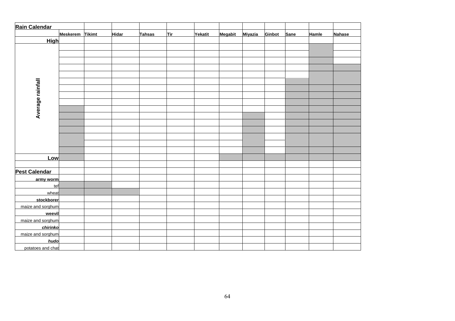| Rain Calendar        |                 |              |        |            |         |         |         |        |      |       |        |
|----------------------|-----------------|--------------|--------|------------|---------|---------|---------|--------|------|-------|--------|
|                      | Meskerem Tikimt | <b>Hidar</b> | Tahsas | <u>Tir</u> | Yekatit | Megabit | Miyazia | Ginbot | Sane | Hamle | Nahase |
| <b>High</b>          |                 |              |        |            |         |         |         |        |      |       |        |
|                      |                 |              |        |            |         |         |         |        |      |       |        |
|                      |                 |              |        |            |         |         |         |        |      |       |        |
|                      |                 |              |        |            |         |         |         |        |      |       |        |
|                      |                 |              |        |            |         |         |         |        |      |       |        |
|                      |                 |              |        |            |         |         |         |        |      |       |        |
|                      |                 |              |        |            |         |         |         |        |      |       |        |
|                      |                 |              |        |            |         |         |         |        |      |       |        |
|                      |                 |              |        |            |         |         |         |        |      |       |        |
| Average rainfall     |                 |              |        |            |         |         |         |        |      |       |        |
|                      |                 |              |        |            |         |         |         |        |      |       |        |
|                      |                 |              |        |            |         |         |         |        |      |       |        |
|                      |                 |              |        |            |         |         |         |        |      |       |        |
|                      |                 |              |        |            |         |         |         |        |      |       |        |
|                      |                 |              |        |            |         |         |         |        |      |       |        |
|                      |                 |              |        |            |         |         |         |        |      |       |        |
|                      |                 |              |        |            |         |         |         |        |      |       |        |
| Low                  |                 |              |        |            |         |         |         |        |      |       |        |
|                      |                 |              |        |            |         |         |         |        |      |       |        |
| <b>Pest Calendar</b> |                 |              |        |            |         |         |         |        |      |       |        |
| army worm            |                 |              |        |            |         |         |         |        |      |       |        |
| tef                  |                 |              |        |            |         |         |         |        |      |       |        |
| wheat                |                 |              |        |            |         |         |         |        |      |       |        |
| stockborer           |                 |              |        |            |         |         |         |        |      |       |        |
| maize and sorghum    |                 |              |        |            |         |         |         |        |      |       |        |
| weevil               |                 |              |        |            |         |         |         |        |      |       |        |
| maize and sorghum    |                 |              |        |            |         |         |         |        |      |       |        |
| chirinko             |                 |              |        |            |         |         |         |        |      |       |        |
| maize and sorghum    |                 |              |        |            |         |         |         |        |      |       |        |
| hudo                 |                 |              |        |            |         |         |         |        |      |       |        |
| potatoes and chat    |                 |              |        |            |         |         |         |        |      |       |        |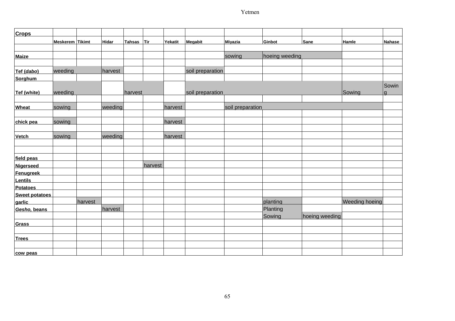| <b>Crops</b>          |                 |         |              |            |         |         |                  |                  |                |                |                       |               |
|-----------------------|-----------------|---------|--------------|------------|---------|---------|------------------|------------------|----------------|----------------|-----------------------|---------------|
|                       | Meskerem Tikimt |         | <b>Hidar</b> | Tahsas Tir |         | Yekatit | Megabit          | Miyazia          | Ginbot         | Sane           | Hamle                 | <b>Nahase</b> |
|                       |                 |         |              |            |         |         |                  |                  |                |                |                       |               |
| <b>Maize</b>          |                 |         |              |            |         |         |                  | sowing           | hoeing weeding |                |                       |               |
|                       |                 |         |              |            |         |         |                  |                  |                |                |                       |               |
| Tef (dabo)            | weeding         |         | harvest      |            |         |         | soil preparation |                  |                |                |                       |               |
| <b>Sorghum</b>        |                 |         |              |            |         |         |                  |                  |                |                |                       |               |
| Tef (white)           | weeding         |         |              | harvest    |         |         | soil preparation |                  |                |                | Sowing                | Sowin<br>la   |
|                       |                 |         |              |            |         |         |                  |                  |                |                |                       |               |
| <b>Wheat</b>          | sowing          |         | weeding      |            |         | harvest |                  | soil preparation |                |                |                       |               |
|                       |                 |         |              |            |         |         |                  |                  |                |                |                       |               |
| chick pea             | sowing          |         |              |            |         | harvest |                  |                  |                |                |                       |               |
|                       |                 |         |              |            |         |         |                  |                  |                |                |                       |               |
| <b>Vetch</b>          | sowing          |         | weeding      |            |         | harvest |                  |                  |                |                |                       |               |
|                       |                 |         |              |            |         |         |                  |                  |                |                |                       |               |
|                       |                 |         |              |            |         |         |                  |                  |                |                |                       |               |
| field peas            |                 |         |              |            |         |         |                  |                  |                |                |                       |               |
| <b>Nigerseed</b>      |                 |         |              |            | harvest |         |                  |                  |                |                |                       |               |
| <b>Fenugreek</b>      |                 |         |              |            |         |         |                  |                  |                |                |                       |               |
| <b>Lentils</b>        |                 |         |              |            |         |         |                  |                  |                |                |                       |               |
| <b>Potatoes</b>       |                 |         |              |            |         |         |                  |                  |                |                |                       |               |
| <b>Sweet potatoes</b> |                 |         |              |            |         |         |                  |                  |                |                |                       |               |
| garlic                |                 | harvest |              |            |         |         |                  |                  | planting       |                | <b>Weeding hoeing</b> |               |
| Gesho, beans          |                 |         | harvest      |            |         |         |                  |                  | Planting       |                |                       |               |
|                       |                 |         |              |            |         |         |                  |                  | Sowing         | hoeing weeding |                       |               |
| <b>Grass</b>          |                 |         |              |            |         |         |                  |                  |                |                |                       |               |
|                       |                 |         |              |            |         |         |                  |                  |                |                |                       |               |
| <b>Trees</b>          |                 |         |              |            |         |         |                  |                  |                |                |                       |               |
|                       |                 |         |              |            |         |         |                  |                  |                |                |                       |               |
| cow peas              |                 |         |              |            |         |         |                  |                  |                |                |                       |               |